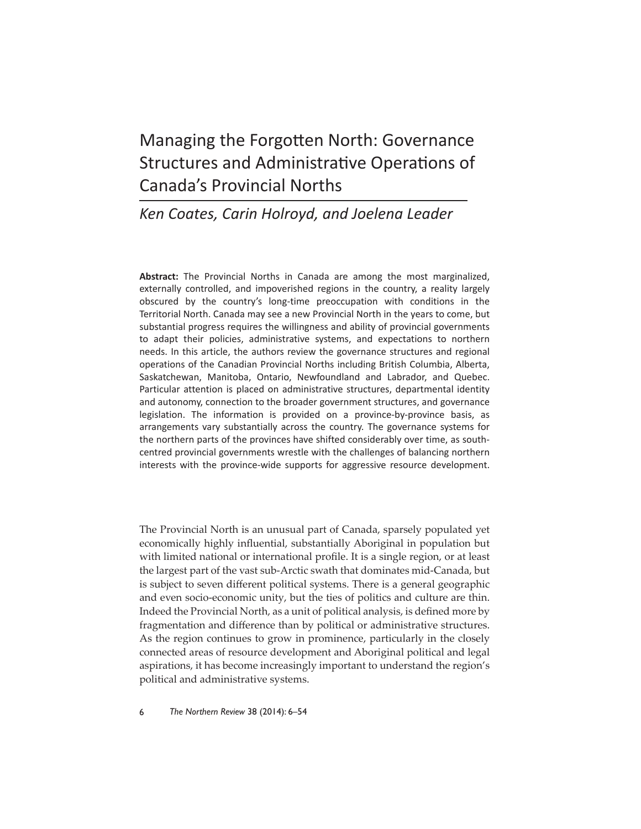# Managing the Forgotten North: Governance Structures and Administrative Operations of Canada's Provincial Norths

# *Ken Coates, Carin Holroyd, and Joelena Leader*

**Abstract:** The Provincial Norths in Canada are among the most marginalized, externally controlled, and impoverished regions in the country, a reality largely obscured by the country's long-time preoccupation with conditions in the Territorial North. Canada may see a new Provincial North in the years to come, but substantial progress requires the willingness and ability of provincial governments to adapt their policies, administrative systems, and expectations to northern needs. In this article, the authors review the governance structures and regional operations of the Canadian Provincial Norths including British Columbia, Alberta, Saskatchewan, Manitoba, Ontario, Newfoundland and Labrador, and Quebec. Particular attention is placed on administrative structures, departmental identity and autonomy, connection to the broader government structures, and governance legislation. The information is provided on a province-by-province basis, as arrangements vary substantially across the country. The governance systems for the northern parts of the provinces have shifted considerably over time, as southcentred provincial governments wrestle with the challenges of balancing northern interests with the province-wide supports for aggressive resource development.

The Provincial North is an unusual part of Canada, sparsely populated yet economically highly influential, substantially Aboriginal in population but with limited national or international profile. It is a single region, or at least the largest part of the vast sub-Arctic swath that dominates mid-Canada, but is subject to seven different political systems. There is a general geographic and even socio-economic unity, but the ties of politics and culture are thin. Indeed the Provincial North, as a unit of political analysis, is defined more by fragmentation and difference than by political or administrative structures. As the region continues to grow in prominence, particularly in the closely connected areas of resource development and Aboriginal political and legal aspirations, it has become increasingly important to understand the region's political and administrative systems.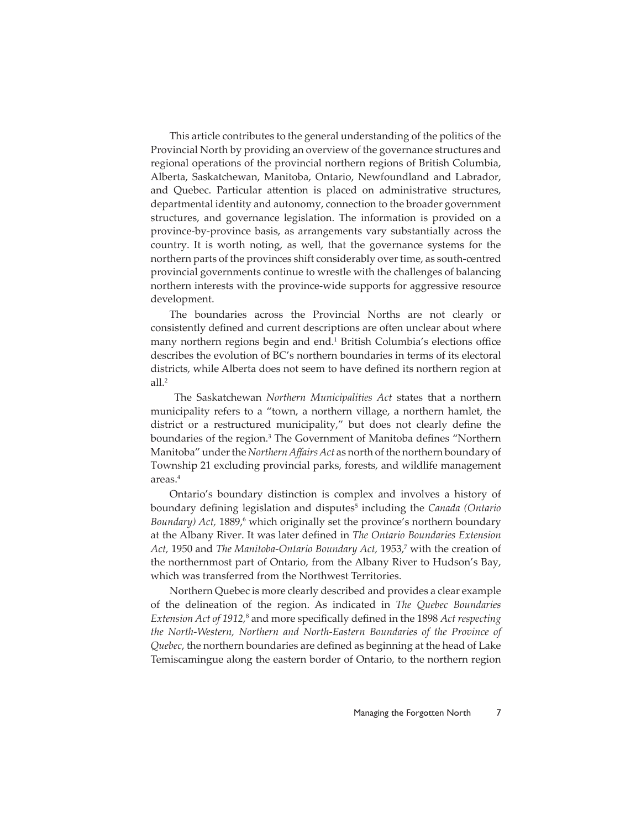This article contributes to the general understanding of the politics of the Provincial North by providing an overview of the governance structures and regional operations of the provincial northern regions of British Columbia, Alberta, Saskatchewan, Manitoba, Ontario, Newfoundland and Labrador, and Quebec. Particular attention is placed on administrative structures, departmental identity and autonomy, connection to the broader government structures, and governance legislation. The information is provided on a province-by-province basis, as arrangements vary substantially across the country. It is worth noting, as well, that the governance systems for the northern parts of the provinces shift considerably over time, as south-centred provincial governments continue to wrestle with the challenges of balancing northern interests with the province-wide supports for aggressive resource development.

The boundaries across the Provincial Norths are not clearly or consistently defined and current descriptions are often unclear about where many northern regions begin and end.<sup>1</sup> British Columbia's elections office describes the evolution of BC's northern boundaries in terms of its electoral districts, while Alberta does not seem to have defined its northern region at all.<sup>2</sup>

 The Saskatchewan *Northern Municipalities Act* states that a northern municipality refers to a "town, a northern village, a northern hamlet, the district or a restructured municipality," but does not clearly define the boundaries of the region.<sup>3</sup> The Government of Manitoba defines "Northern Manitoba" under the *Northern Affairs Act* as north of the northern boundary of Township 21 excluding provincial parks, forests, and wildlife management areas.4

Ontario's boundary distinction is complex and involves a history of boundary defining legislation and disputes<sup>5</sup> including the *Canada (Ontario* Boundary) Act, 1889,<sup>6</sup> which originally set the province's northern boundary at the Albany River. It was later defined in *The Ontario Boundaries Extension* Act, 1950 and *The Manitoba-Ontario Boundary Act*, 1953,<sup>7</sup> with the creation of the northernmost part of Ontario, from the Albany River to Hudson's Bay, which was transferred from the Northwest Territories.

Northern Quebec is more clearly described and provides a clear example of the delineation of the region. As indicated in *The Quebec Boundaries Extension Act of 1912,*<sup>8</sup> and more specifi cally defi ned in the 1898 *Act respecting the North-Western, Northern and North-Eastern Boundaries of the Province of Quebec*, the northern boundaries are defined as beginning at the head of Lake Temiscamingue along the eastern border of Ontario, to the northern region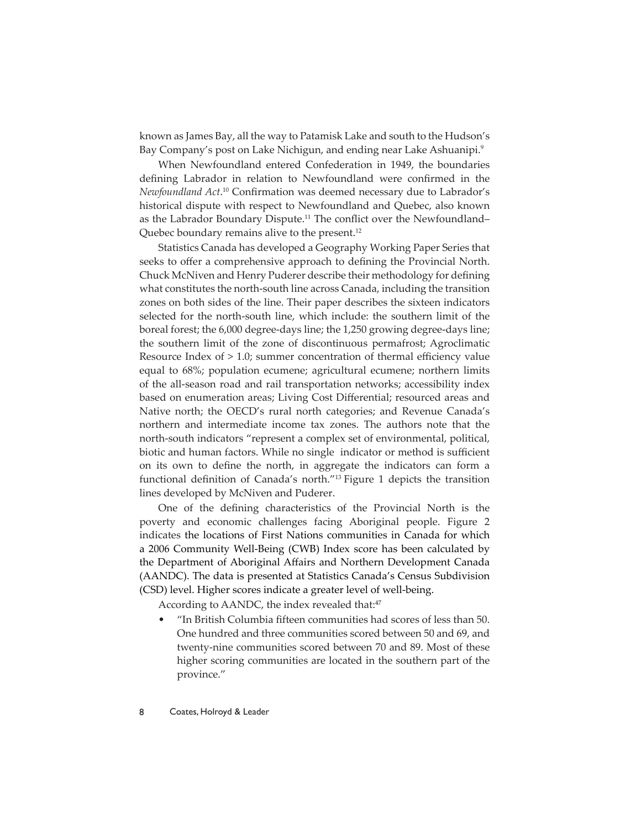known as James Bay, all the way to Patamisk Lake and south to the Hudson's Bay Company's post on Lake Nichigun, and ending near Lake Ashuanipi.<sup>9</sup>

When Newfoundland entered Confederation in 1949, the boundaries defining Labrador in relation to Newfoundland were confirmed in the Newfoundland Act.<sup>10</sup> Confirmation was deemed necessary due to Labrador's historical dispute with respect to Newfoundland and Quebec, also known as the Labrador Boundary Dispute.<sup>11</sup> The conflict over the Newfoundland– Quebec boundary remains alive to the present.<sup>12</sup>

Statistics Canada has developed a Geography Working Paper Series that seeks to offer a comprehensive approach to defining the Provincial North. Chuck McNiven and Henry Puderer describe their methodology for defining what constitutes the north-south line across Canada, including the transition zones on both sides of the line. Their paper describes the sixteen indicators selected for the north-south line, which include: the southern limit of the boreal forest; the 6,000 degree-days line; the 1,250 growing degree-days line; the southern limit of the zone of discontinuous permafrost; Agroclimatic Resource Index of  $> 1.0$ ; summer concentration of thermal efficiency value equal to 68%; population ecumene; agricultural ecumene; northern limits of the all-season road and rail transportation networks; accessibility index based on enumeration areas; Living Cost Differential; resourced areas and Native north; the OECD's rural north categories; and Revenue Canada's northern and intermediate income tax zones. The authors note that the north-south indicators "represent a complex set of environmental, political, biotic and human factors. While no single indicator or method is sufficient on its own to define the north, in aggregate the indicators can form a functional definition of Canada's north."<sup>13</sup> Figure 1 depicts the transition lines developed by McNiven and Puderer.

One of the defining characteristics of the Provincial North is the poverty and economic challenges facing Aboriginal people. Figure 2 indicates the locations of First Nations communities in Canada for which a 2006 Community Well-Being (CWB) Index score has been calculated by the Department of Aboriginal Affairs and Northern Development Canada (AANDC). The data is presented at Statistics Canada's Census Subdivision (CSD) level. Higher scores indicate a greater level of well-being.

According to AANDC, the index revealed that:<sup>47</sup>

• "In British Columbia fi fteen communities had scores of less than 50. One hundred and three communities scored between 50 and 69, and twenty-nine communities scored between 70 and 89. Most of these higher scoring communities are located in the southern part of the province."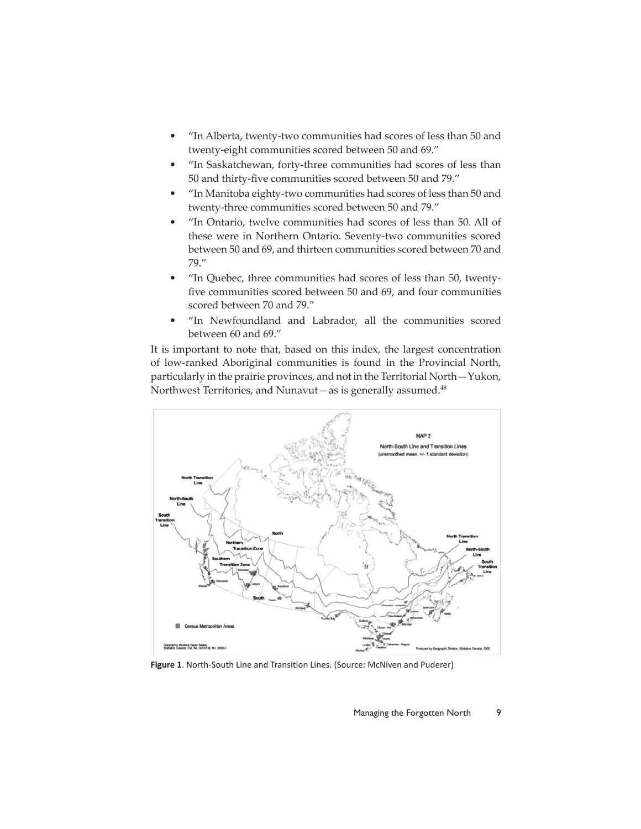- "In Alberta, twenty-two communities had scores of less than 50 and twenty-eight communities scored between 50 and 69."
- "In Saskatchewan, forty-three communities had scores of less than 50 and thirty-five communities scored between 50 and 79."
- "In Manitoba eighty-two communities had scores of less than 50 and twenty-three communities scored between 50 and 79."
- "In Ontario, twelve communities had scores of less than 50. All of these were in Northern Ontario. Seventy-two communities scored between 50 and 69, and thirteen communities scored between 70 and 79."
- "In Quebec, three communities had scores of less than 50, twentyfive communities scored between 50 and 69, and four communities scored between 70 and 79."
- "In Newfoundland and Labrador, all the communities scored between 60 and 69."

It is important to note that, based on this index, the largest concentration of low-ranked Aboriginal communities is found in the Provincial North, particularly in the prairie provinces, and not in the Territorial North—Yukon, Northwest Territories, and Nunavut—as is generally assumed. $48$ 



**Figure 1**. North-South Line and Transition Lines. (Source: McNiven and Puderer)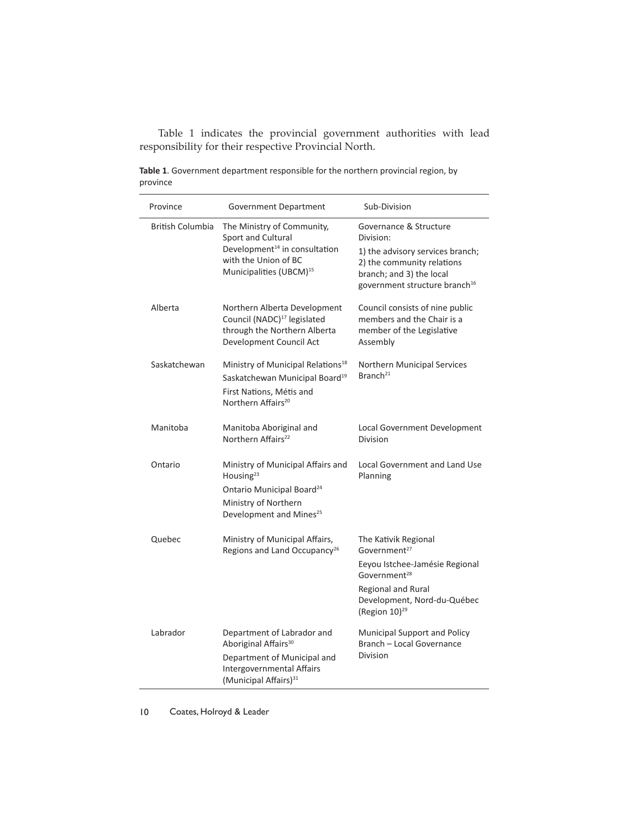Table 1 indicates the provincial government authorities with lead responsibility for their respective Provincial North.

| Province                | Government Department                                                                                                                                              | Sub-Division                                                                                                                                                                                     |
|-------------------------|--------------------------------------------------------------------------------------------------------------------------------------------------------------------|--------------------------------------------------------------------------------------------------------------------------------------------------------------------------------------------------|
| <b>British Columbia</b> | The Ministry of Community,<br>Sport and Cultural<br>Development <sup>14</sup> in consultation<br>with the Union of BC<br>Municipalities (UBCM) <sup>15</sup>       | Governance & Structure<br>Division:<br>1) the advisory services branch;<br>2) the community relations<br>branch; and 3) the local<br>government structure branch <sup>16</sup>                   |
| Alberta                 | Northern Alberta Development<br>Council (NADC) <sup>17</sup> legislated<br>through the Northern Alberta<br>Development Council Act                                 | Council consists of nine public<br>members and the Chair is a<br>member of the Legislative<br>Assembly                                                                                           |
| Saskatchewan            | Ministry of Municipal Relations <sup>18</sup><br>Saskatchewan Municipal Board <sup>19</sup><br>First Nations, Métis and<br>Northern Affairs <sup>20</sup>          | Northern Municipal Services<br>Branch <sup>21</sup>                                                                                                                                              |
| Manitoba                | Manitoba Aboriginal and<br>Northern Affairs <sup>22</sup>                                                                                                          | Local Government Development<br>Division                                                                                                                                                         |
| Ontario                 | Ministry of Municipal Affairs and<br>Housing <sup>23</sup><br>Ontario Municipal Board <sup>24</sup><br>Ministry of Northern<br>Development and Mines <sup>25</sup> | Local Government and Land Use<br>Planning                                                                                                                                                        |
| Quebec                  | Ministry of Municipal Affairs,<br>Regions and Land Occupancy <sup>26</sup>                                                                                         | The Kativik Regional<br>Government <sup>27</sup><br>Eeyou Istchee-Jamésie Regional<br>Government <sup>28</sup><br>Regional and Rural<br>Development, Nord-du-Québec<br>(Region 10) <sup>29</sup> |
| Labrador                | Department of Labrador and<br>Aboriginal Affairs <sup>30</sup><br>Department of Municipal and<br>Intergovernmental Affairs<br>(Municipal Affairs) <sup>31</sup>    | Municipal Support and Policy<br>Branch - Local Governance<br><b>Division</b>                                                                                                                     |

**Table 1**. Government department responsible for the northern provincial region, by province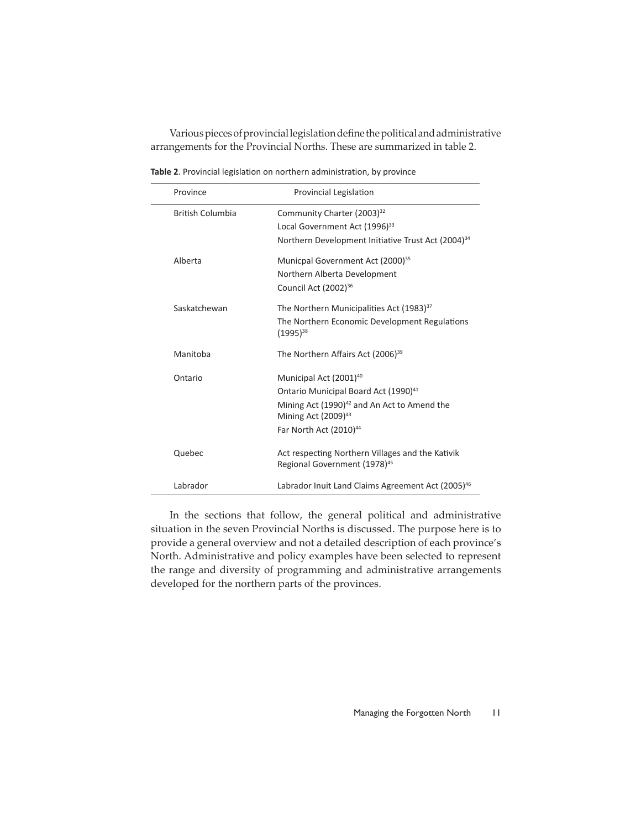Various pieces of provincial legislation define the political and administrative arrangements for the Provincial Norths. These are summarized in table 2.

| Province                | Provincial Legislation                                                                     |
|-------------------------|--------------------------------------------------------------------------------------------|
| <b>British Columbia</b> | Community Charter (2003) <sup>32</sup>                                                     |
|                         | Local Government Act (1996) <sup>33</sup>                                                  |
|                         | Northern Development Initiative Trust Act (2004) <sup>34</sup>                             |
| Alberta                 | Municpal Government Act (2000) <sup>35</sup>                                               |
|                         | Northern Alberta Development                                                               |
|                         | Council Act (2002) <sup>36</sup>                                                           |
| Saskatchewan            | The Northern Municipalities Act (1983) <sup>37</sup>                                       |
|                         | The Northern Economic Development Regulations<br>$(1995)^{38}$                             |
| Manitoba                | The Northern Affairs Act (2006) <sup>39</sup>                                              |
| Ontario                 | Municipal Act (2001) <sup>40</sup>                                                         |
|                         | Ontario Municipal Board Act (1990) <sup>41</sup>                                           |
|                         | Mining Act (1990) <sup>42</sup> and An Act to Amend the<br>Mining Act (2009) <sup>43</sup> |
|                         | Far North Act (2010) <sup>44</sup>                                                         |
| Quebec                  | Act respecting Northern Villages and the Kativik                                           |
|                         | Regional Government (1978) <sup>45</sup>                                                   |
| Labrador                | Labrador Inuit Land Claims Agreement Act (2005) <sup>46</sup>                              |

**Table 2**. Provincial legislation on northern administration, by province

In the sections that follow, the general political and administrative situation in the seven Provincial Norths is discussed. The purpose here is to provide a general overview and not a detailed description of each province's North. Administrative and policy examples have been selected to represent the range and diversity of programming and administrative arrangements developed for the northern parts of the provinces.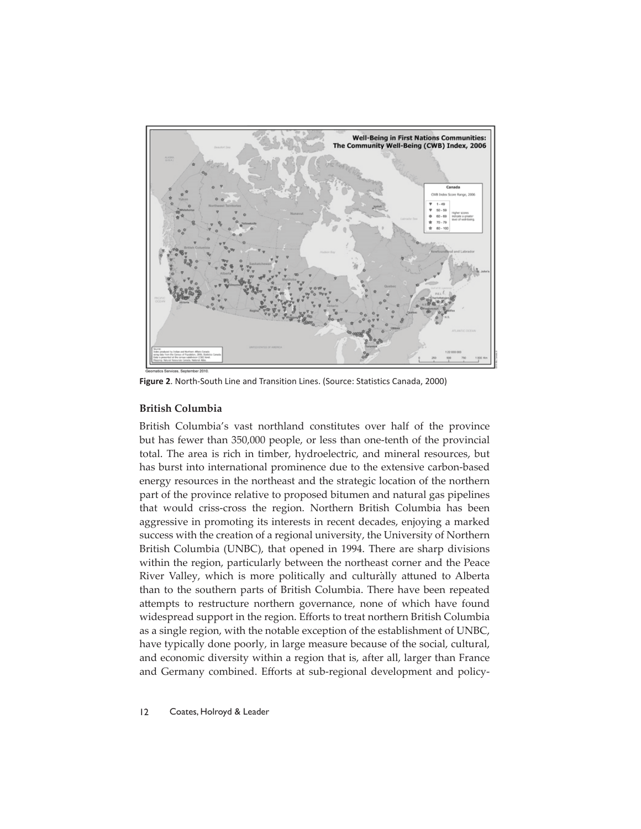

**Figure 2**. North-South Line and Transition Lines. (Source: Statistics Canada, 2000)

# **British Columbia**

British Columbia's vast northland constitutes over half of the province but has fewer than 350,000 people, or less than one-tenth of the provincial total. The area is rich in timber, hydroelectric, and mineral resources, but has burst into international prominence due to the extensive carbon-based energy resources in the northeast and the strategic location of the northern part of the province relative to proposed bitumen and natural gas pipelines that would criss-cross the region. Northern British Columbia has been aggressive in promoting its interests in recent decades, enjoying a marked success with the creation of a regional university, the University of Northern British Columbia (UNBC), that opened in 1994. There are sharp divisions within the region, particularly between the northeast corner and the Peace River Valley, which is more politically and culturally attuned to Alberta than to the southern parts of British Columbia. There have been repeated attempts to restructure northern governance, none of which have found widespread support in the region. Efforts to treat northern British Columbia as a single region, with the notable exception of the establishment of UNBC, have typically done poorly, in large measure because of the social, cultural, and economic diversity within a region that is, after all, larger than France and Germany combined. Efforts at sub-regional development and policy-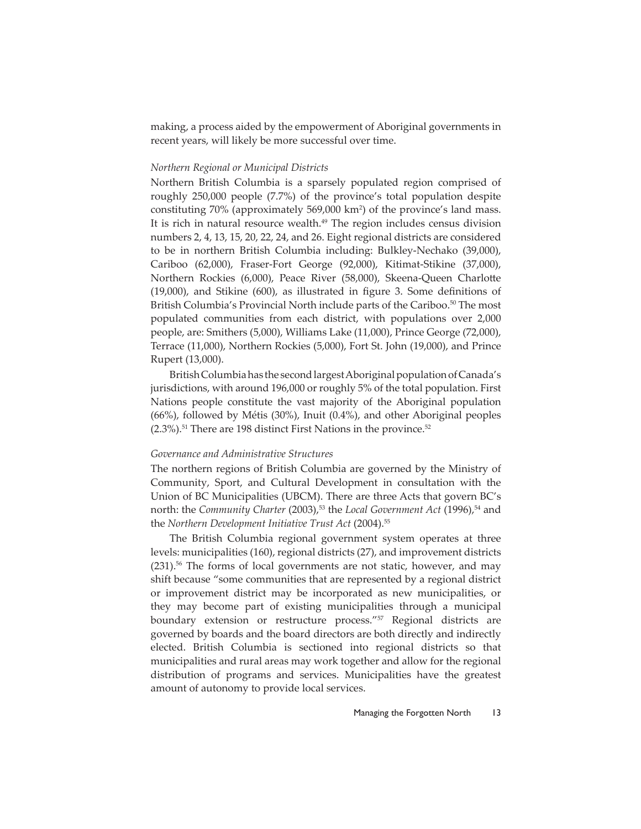making, a process aided by the empowerment of Aboriginal governments in recent years, will likely be more successful over time.

#### *Northern Regional or Municipal Districts*

Northern British Columbia is a sparsely populated region comprised of roughly 250,000 people (7.7%) of the province's total population despite constituting 70% (approximately 569,000 km2 ) of the province's land mass. It is rich in natural resource wealth.<sup>49</sup> The region includes census division numbers 2, 4, 13, 15, 20, 22, 24, and 26. Eight regional districts are considered to be in northern British Columbia including: Bulkley-Nechako (39,000), Cariboo (62,000), Fraser-Fort George (92,000), Kitimat-Stikine (37,000), Northern Rockies (6,000), Peace River (58,000), Skeena-Queen Charlotte  $(19,000)$ , and Stikine  $(600)$ , as illustrated in figure 3. Some definitions of British Columbia's Provincial North include parts of the Cariboo.<sup>50</sup> The most populated communities from each district, with populations over 2,000 people, are: Smithers (5,000), Williams Lake (11,000), Prince George (72,000), Terrace (11,000), Northern Rockies (5,000), Fort St. John (19,000), and Prince Rupert (13,000).

British Columbia has the second largest Aboriginal population of Canada's jurisdictions, with around 196,000 or roughly 5% of the total population. First Nations people constitute the vast majority of the Aboriginal population (66%), followed by Métis (30%), Inuit (0.4%), and other Aboriginal peoples  $(2.3\%)$ <sup>51</sup> There are 198 distinct First Nations in the province.<sup>52</sup>

# *Governance and Administrative Structures*

The northern regions of British Columbia are governed by the Ministry of Community, Sport, and Cultural Development in consultation with the Union of BC Municipalities (UBCM). There are three Acts that govern BC's north: the *Community Charter* (2003),<sup>53</sup> the *Local Government Act* (1996),<sup>54</sup> and the *Northern Development Initiative Trust Act* (2004).55

The British Columbia regional government system operates at three levels: municipalities (160), regional districts (27), and improvement districts  $(231).$ <sup>56</sup> The forms of local governments are not static, however, and may shift because "some communities that are represented by a regional district or improvement district may be incorporated as new municipalities, or they may become part of existing municipalities through a municipal boundary extension or restructure process."<sup>57</sup> Regional districts are governed by boards and the board directors are both directly and indirectly elected. British Columbia is sectioned into regional districts so that municipalities and rural areas may work together and allow for the regional distribution of programs and services. Municipalities have the greatest amount of autonomy to provide local services.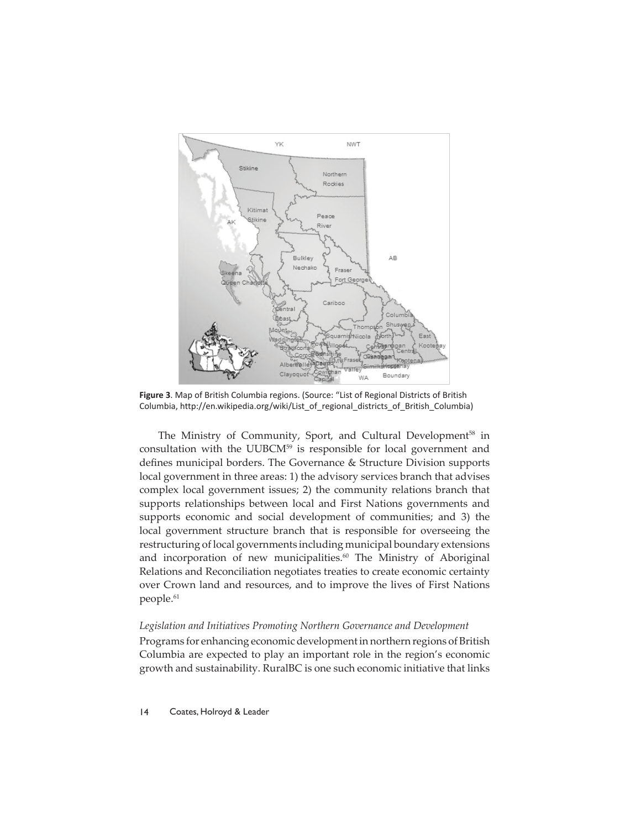

**Figure 3**. Map of British Columbia regions. (Source: "List of Regional Districts of British Columbia, http://en.wikipedia.org/wiki/List\_of\_regional\_districts\_of\_British\_Columbia)

The Ministry of Community, Sport, and Cultural Development<sup>58</sup> in consultation with the UUBCM<sup>59</sup> is responsible for local government and defines municipal borders. The Governance & Structure Division supports local government in three areas: 1) the advisory services branch that advises complex local government issues; 2) the community relations branch that supports relationships between local and First Nations governments and supports economic and social development of communities; and 3) the local government structure branch that is responsible for overseeing the restructuring of local governments including municipal boundary extensions and incorporation of new municipalities.<sup>60</sup> The Ministry of Aboriginal Relations and Reconciliation negotiates treaties to create economic certainty over Crown land and resources, and to improve the lives of First Nations people.<sup>61</sup>

#### *Legislation and Initiatives Promoting Northern Governance and Development*

Programs for enhancing economic development in northern regions of British Columbia are expected to play an important role in the region's economic growth and sustainability. RuralBC is one such economic initiative that links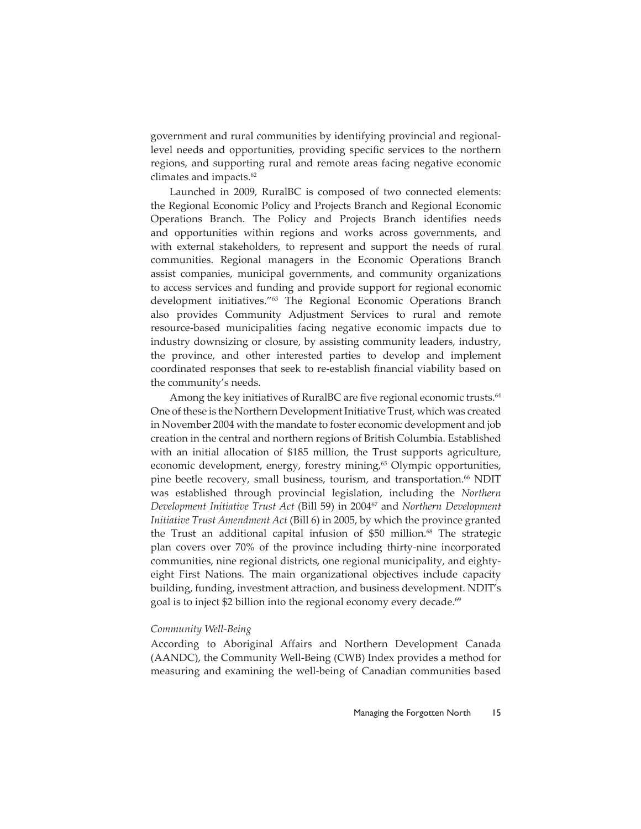government and rural communities by identifying provincial and regionallevel needs and opportunities, providing specific services to the northern regions, and supporting rural and remote areas facing negative economic climates and impacts.<sup>62</sup>

Launched in 2009, RuralBC is composed of two connected elements: the Regional Economic Policy and Projects Branch and Regional Economic Operations Branch. The Policy and Projects Branch identifies needs and opportunities within regions and works across governments, and with external stakeholders, to represent and support the needs of rural communities. Regional managers in the Economic Operations Branch assist companies, municipal governments, and community organizations to access services and funding and provide support for regional economic development initiatives."<sup>63</sup> The Regional Economic Operations Branch also provides Community Adjustment Services to rural and remote resource-based municipalities facing negative economic impacts due to industry downsizing or closure, by assisting community leaders, industry, the province, and other interested parties to develop and implement coordinated responses that seek to re-establish financial viability based on the community's needs.

Among the key initiatives of RuralBC are five regional economic trusts.<sup>64</sup> One of these is the Northern Development Initiative Trust, which was created in November 2004 with the mandate to foster economic development and job creation in the central and northern regions of British Columbia. Established with an initial allocation of \$185 million, the Trust supports agriculture, economic development, energy, forestry mining,<sup>65</sup> Olympic opportunities, pine beetle recovery, small business, tourism, and transportation.<sup>66</sup> NDIT was established through provincial legislation, including the *Northern Development Initiative Trust Act* (Bill 59) in 200467 and *Northern Development Initiative Trust Amendment Act* (Bill 6) in 2005, by which the province granted the Trust an additional capital infusion of \$50 million.<sup>68</sup> The strategic plan covers over 70% of the province including thirty-nine incorporated communities, nine regional districts, one regional municipality, and eightyeight First Nations. The main organizational objectives include capacity building, funding, investment att raction, and business development. NDIT's goal is to inject \$2 billion into the regional economy every decade.<sup>69</sup>

#### *Community Well-Being*

According to Aboriginal Affairs and Northern Development Canada (AANDC), the Community Well-Being (CWB) Index provides a method for measuring and examining the well-being of Canadian communities based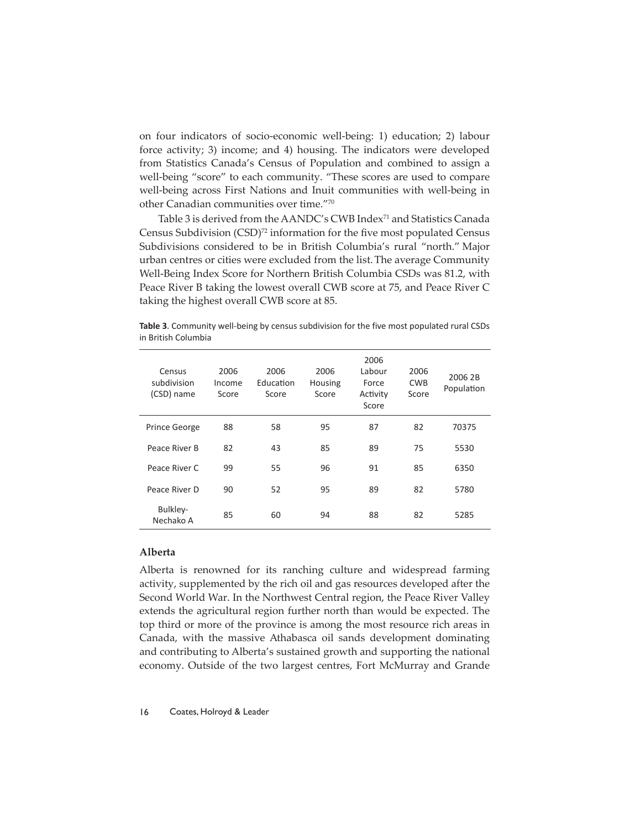on four indicators of socio-economic well-being: 1) education; 2) labour force activity; 3) income; and 4) housing. The indicators were developed from Statistics Canada's Census of Population and combined to assign a well-being "score" to each community. "These scores are used to compare well-being across First Nations and Inuit communities with well-being in other Canadian communities over time."70

Table 3 is derived from the AANDC's CWB Index<sup>71</sup> and Statistics Canada Census Subdivision (CSD)<sup>72</sup> information for the five most populated Census Subdivisions considered to be in British Columbia's rural "north." Major urban centres or cities were excluded from the list.The average Community Well-Being Index Score for Northern British Columbia CSDs was 81.2, with Peace River B taking the lowest overall CWB score at 75, and Peace River C taking the highest overall CWB score at 85.

Census subdivision (CSD) name 2006 Income Score 2006 **Education** Score 2006 Housing Score 2006 Labour Force Activity Score 2006 CWB Score 2006 2B Population Prince George 88 58 95 87 82 70375 Peace River B 82 43 85 89 75 5530 Peace River C 99 55 96 91 85 6350 Peace River D 90 52 95 89 82 5780 Bulkley-Politicy 85 60 94 88 82 5285<br>Nechako A

**Table 3**. Community well-being by census subdivision for the five most populated rural CSDs in British Columbia

# **Alberta**

Alberta is renowned for its ranching culture and widespread farming activity, supplemented by the rich oil and gas resources developed after the Second World War. In the Northwest Central region, the Peace River Valley extends the agricultural region further north than would be expected. The top third or more of the province is among the most resource rich areas in Canada, with the massive Athabasca oil sands development dominating and contributing to Alberta's sustained growth and supporting the national economy. Outside of the two largest centres, Fort McMurray and Grande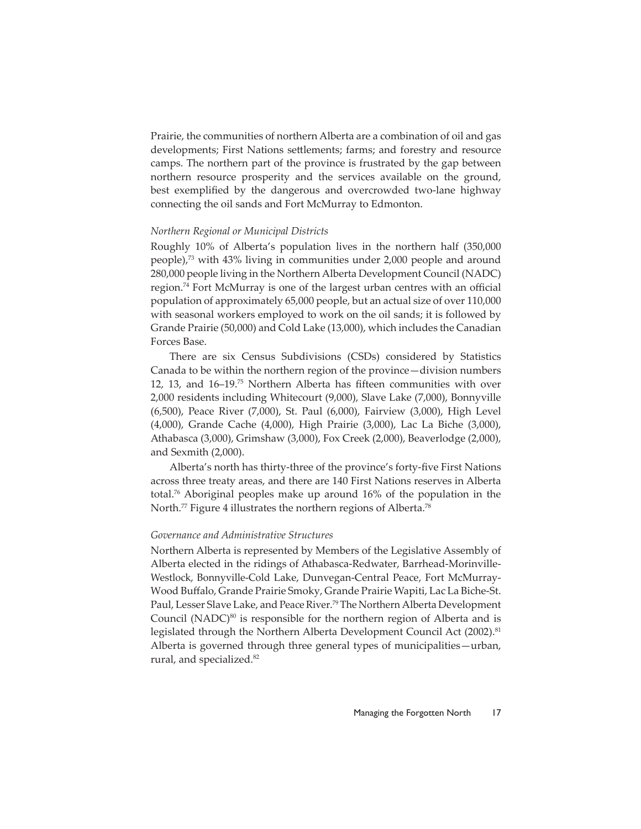Prairie, the communities of northern Alberta are a combination of oil and gas developments; First Nations settlements; farms; and forestry and resource camps. The northern part of the province is frustrated by the gap between northern resource prosperity and the services available on the ground, best exemplified by the dangerous and overcrowded two-lane highway connecting the oil sands and Fort McMurray to Edmonton.

#### *Northern Regional or Municipal Districts*

Roughly 10% of Alberta's population lives in the northern half (350,000 people),73 with 43% living in communities under 2,000 people and around 280,000 people living in the Northern Alberta Development Council (NADC) region.<sup>74</sup> Fort McMurray is one of the largest urban centres with an official population of approximately 65,000 people, but an actual size of over 110,000 with seasonal workers employed to work on the oil sands; it is followed by Grande Prairie (50,000) and Cold Lake (13,000), which includes the Canadian Forces Base.

There are six Census Subdivisions (CSDs) considered by Statistics Canada to be within the northern region of the province—division numbers 12, 13, and 16–19.<sup>75</sup> Northern Alberta has fifteen communities with over 2,000 residents including Whitecourt (9,000), Slave Lake (7,000), Bonnyville (6,500), Peace River (7,000), St. Paul (6,000), Fairview (3,000), High Level (4,000), Grande Cache (4,000), High Prairie (3,000), Lac La Biche (3,000), Athabasca (3,000), Grimshaw (3,000), Fox Creek (2,000), Beaverlodge (2,000), and Sexmith (2,000).

Alberta's north has thirty-three of the province's forty-five First Nations across three treaty areas, and there are 140 First Nations reserves in Alberta total.76 Aboriginal peoples make up around 16% of the population in the North.<sup>77</sup> Figure 4 illustrates the northern regions of Alberta.<sup>78</sup>

# *Governance and Administrative Structures*

Northern Alberta is represented by Members of the Legislative Assembly of Alberta elected in the ridings of Athabasca-Redwater, Barrhead-Morinville-Westlock, Bonnyville-Cold Lake, Dunvegan-Central Peace, Fort McMurray-Wood Buffalo, Grande Prairie Smoky, Grande Prairie Wapiti, Lac La Biche-St. Paul, Lesser Slave Lake, and Peace River.79 The Northern Alberta Development Council (NADC) $^{80}$  is responsible for the northern region of Alberta and is legislated through the Northern Alberta Development Council Act (2002).<sup>81</sup> Alberta is governed through three general types of municipalities—urban, rural, and specialized.<sup>82</sup>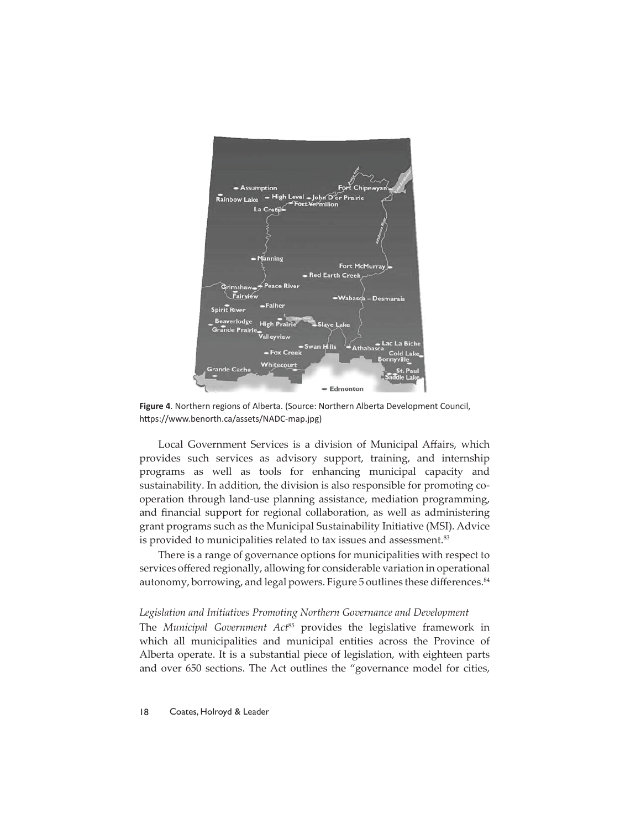

**Figure 4**. Northern regions of Alberta. (Source: Northern Alberta Development Council, https://www.benorth.ca/assets/NADC-map.jpg)

Local Government Services is a division of Municipal Affairs, which provides such services as advisory support, training, and internship programs as well as tools for enhancing municipal capacity and sustainability. In addition, the division is also responsible for promoting cooperation through land-use planning assistance, mediation programming, and financial support for regional collaboration, as well as administering grant programs such as the Municipal Sustainability Initiative (MSI). Advice is provided to municipalities related to tax issues and assessment.<sup>83</sup>

There is a range of governance options for municipalities with respect to services offered regionally, allowing for considerable variation in operational autonomy, borrowing, and legal powers. Figure 5 outlines these differences.<sup>84</sup>

#### *Legislation and Initiatives Promoting Northern Governance and Development*

The *Municipal Government Act*85 provides the legislative framework in which all municipalities and municipal entities across the Province of Alberta operate. It is a substantial piece of legislation, with eighteen parts and over 650 sections. The Act outlines the "governance model for cities,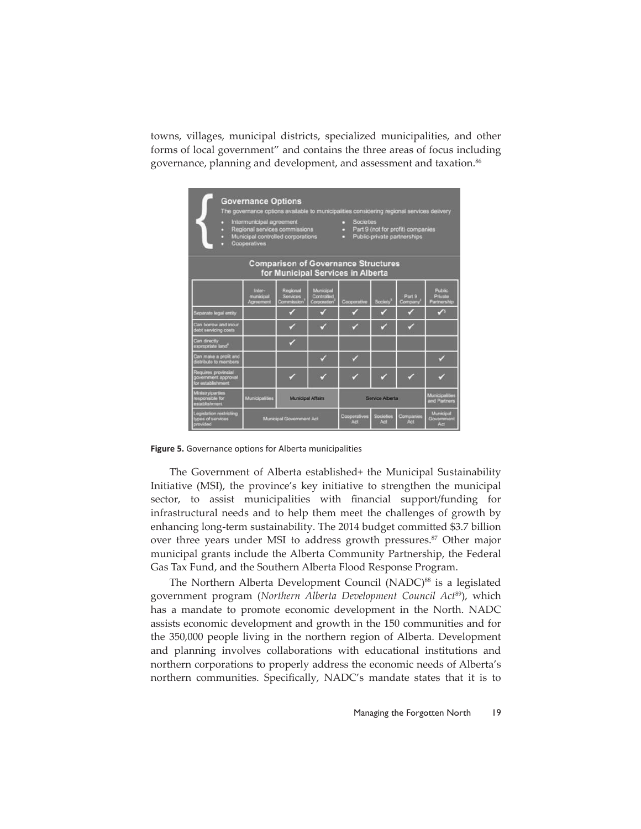towns, villages, municipal districts, specialized municipalities, and other forms of local government" and contains the three areas of focus including governance, planning and development, and assessment and taxation.<sup>86</sup>

| <b>Governance Options</b><br>The governance options available to municipalities considering regional services delivery<br>Intermunicipal agreement<br>Societies<br>п<br>Regional services commissions<br>Part 9 (not for profit) companies<br>Municipal controlled corporations<br>Public-private partnerships<br>п<br>Cooperatives |                                  |                                    |                                               |                     |                      |                                |                                  |  |
|-------------------------------------------------------------------------------------------------------------------------------------------------------------------------------------------------------------------------------------------------------------------------------------------------------------------------------------|----------------------------------|------------------------------------|-----------------------------------------------|---------------------|----------------------|--------------------------------|----------------------------------|--|
| <b>Comparison of Governance Structures</b><br>for Municipal Services in Alberta                                                                                                                                                                                                                                                     |                                  |                                    |                                               |                     |                      |                                |                                  |  |
|                                                                                                                                                                                                                                                                                                                                     | Inter-<br>municipal<br>Agreement | Regional<br>Services<br>Commission | Municipal<br>Controlled<br><b>Corporation</b> | Cooperative         | Society <sup>3</sup> | Part 9<br>Company              | Public<br>Private<br>Partnership |  |
| Separate legal entity                                                                                                                                                                                                                                                                                                               |                                  |                                    |                                               |                     |                      |                                | $\mathcal{S}$                    |  |
| Can borrow and incur<br>debt servicing costs                                                                                                                                                                                                                                                                                        |                                  |                                    |                                               |                     |                      |                                |                                  |  |
| Can directly<br>expropriate land <sup>®</sup>                                                                                                                                                                                                                                                                                       |                                  |                                    |                                               |                     |                      |                                |                                  |  |
| Can make a profit and<br>distribute to members                                                                                                                                                                                                                                                                                      |                                  |                                    |                                               |                     |                      |                                |                                  |  |
| Requires provincial<br>government approval<br>for establishment                                                                                                                                                                                                                                                                     |                                  |                                    |                                               |                     |                      |                                |                                  |  |
| Ministry/parties<br>responsible for<br>establishment                                                                                                                                                                                                                                                                                | Municipalities                   | <b>Municipal Affairs</b>           |                                               | Service Alberta     |                      | Municipalities<br>and Partners |                                  |  |
| Legislation restricting<br>types of services<br>provided                                                                                                                                                                                                                                                                            |                                  | Municipal Government Act           |                                               | Cooperatives<br>Act | Socioties<br>Art     | Companies<br>Act               | Municipal<br>Government<br>Act.  |  |

**Figure 5.** Governance options for Alberta municipalities

The Government of Alberta established+ the Municipal Sustainability Initiative (MSI), the province's key initiative to strengthen the municipal sector, to assist municipalities with financial support/funding for infrastructural needs and to help them meet the challenges of growth by enhancing long-term sustainability. The 2014 budget committed \$3.7 billion over three years under MSI to address growth pressures.<sup>87</sup> Other major municipal grants include the Alberta Community Partnership, the Federal Gas Tax Fund, and the Southern Alberta Flood Response Program.

The Northern Alberta Development Council (NADC)<sup>88</sup> is a legislated government program (*Northern Alberta Development Council Act*89), which has a mandate to promote economic development in the North. NADC assists economic development and growth in the 150 communities and for the 350,000 people living in the northern region of Alberta. Development and planning involves collaborations with educational institutions and northern corporations to properly address the economic needs of Alberta's northern communities. Specifically, NADC's mandate states that it is to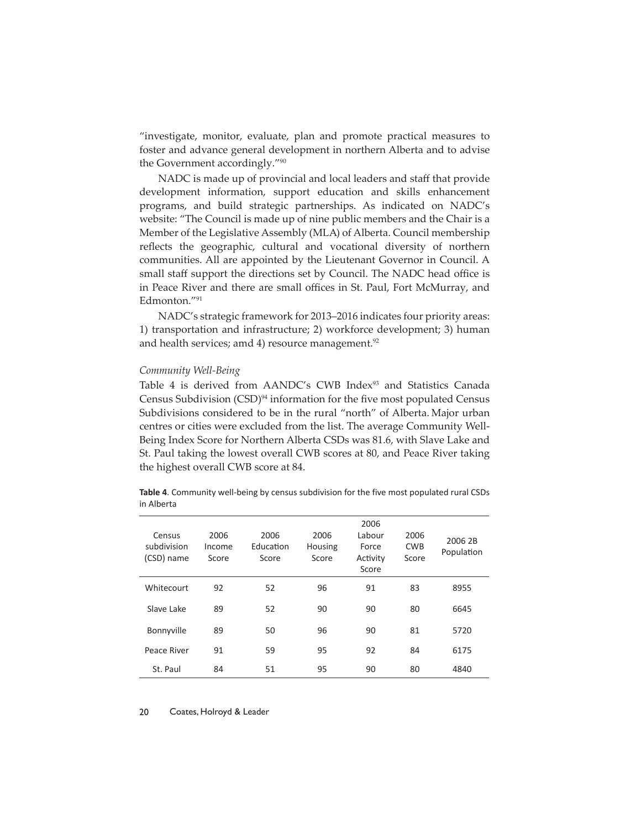"investigate, monitor, evaluate, plan and promote practical measures to foster and advance general development in northern Alberta and to advise the Government accordingly."90

NADC is made up of provincial and local leaders and staff that provide development information, support education and skills enhancement programs, and build strategic partnerships. As indicated on NADC's website: "The Council is made up of nine public members and the Chair is a Member of the Legislative Assembly (MLA) of Alberta. Council membership reflects the geographic, cultural and vocational diversity of northern communities. All are appointed by the Lieutenant Governor in Council. A small staff support the directions set by Council. The NADC head office is in Peace River and there are small offices in St. Paul, Fort McMurray, and Edmonton."91

NADC's strategic framework for 2013–2016 indicates four priority areas: 1) transportation and infrastructure; 2) workforce development; 3) human and health services; amd 4) resource management. $92$ 

#### *Community Well-Being*

Table 4 is derived from AANDC's CWB Index<sup>93</sup> and Statistics Canada Census Subdivision (CSD)<sup>94</sup> information for the five most populated Census Subdivisions considered to be in the rural "north" of Alberta. Major urban centres or cities were excluded from the list. The average Community Well-Being Index Score for Northern Alberta CSDs was 81.6, with Slave Lake and St. Paul taking the lowest overall CWB scores at 80, and Peace River taking the highest overall CWB score at 84.

**Table 4**. Community well-being by census subdivision for the five most populated rural CSDs in Alberta

| Census<br>subdivision<br>(CSD) name | 2006<br>Income<br>Score | 2006<br>Education<br>Score | 2006<br><b>Housing</b><br>Score | 2006<br>Labour<br>Force<br>Activity<br>Score | 2006<br><b>CWB</b><br>Score | 2006 2B<br>Population |
|-------------------------------------|-------------------------|----------------------------|---------------------------------|----------------------------------------------|-----------------------------|-----------------------|
| Whitecourt                          | 92                      | 52                         | 96                              | 91                                           | 83                          | 8955                  |
| Slave Lake                          | 89                      | 52                         | 90                              | 90                                           | 80                          | 6645                  |
| Bonnyville                          | 89                      | 50                         | 96                              | 90                                           | 81                          | 5720                  |
| Peace River                         | 91                      | 59                         | 95                              | 92                                           | 84                          | 6175                  |
| St. Paul                            | 84                      | 51                         | 95                              | 90                                           | 80                          | 4840                  |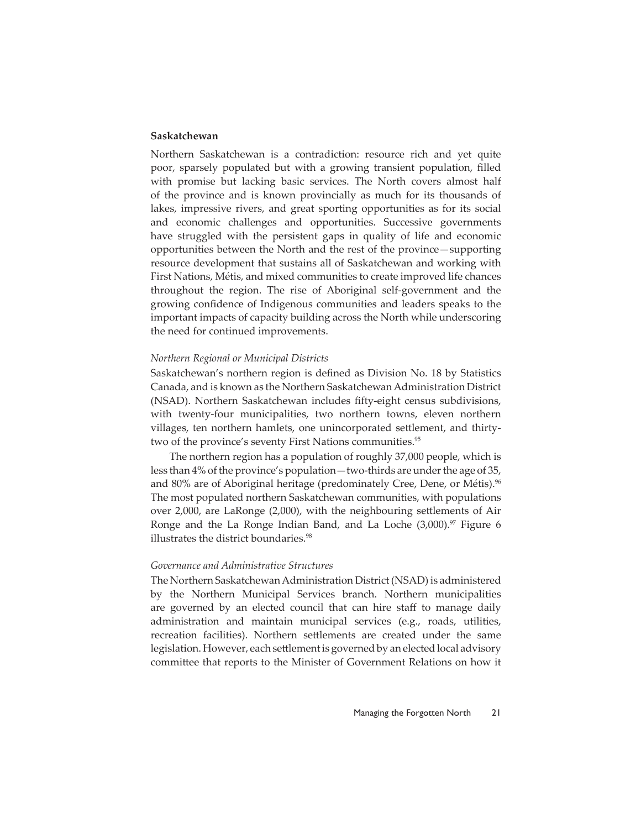# **Saskatchewan**

Northern Saskatchewan is a contradiction: resource rich and yet quite poor, sparsely populated but with a growing transient population, filled with promise but lacking basic services. The North covers almost half of the province and is known provincially as much for its thousands of lakes, impressive rivers, and great sporting opportunities as for its social and economic challenges and opportunities. Successive governments have struggled with the persistent gaps in quality of life and economic opportunities between the North and the rest of the province—supporting resource development that sustains all of Saskatchewan and working with First Nations, Métis, and mixed communities to create improved life chances throughout the region. The rise of Aboriginal self-government and the growing confidence of Indigenous communities and leaders speaks to the important impacts of capacity building across the North while underscoring the need for continued improvements.

#### *Northern Regional or Municipal Districts*

Saskatchewan's northern region is defined as Division No. 18 by Statistics Canada, and is known as the Northern Saskatchewan Administration District (NSAD). Northern Saskatchewan includes fifty-eight census subdivisions, with twenty-four municipalities, two northern towns, eleven northern villages, ten northern hamlets, one unincorporated settlement, and thirtytwo of the province's seventy First Nations communities.<sup>95</sup>

The northern region has a population of roughly 37,000 people, which is less than 4% of the province's population—two-thirds are under the age of 35, and 80% are of Aboriginal heritage (predominately Cree, Dene, or Métis).<sup>96</sup> The most populated northern Saskatchewan communities, with populations over 2,000, are LaRonge (2,000), with the neighbouring settlements of Air Ronge and the La Ronge Indian Band, and La Loche  $(3,000)^{97}$  Figure 6 illustrates the district boundaries.<sup>98</sup>

#### *Governance and Administrative Structures*

The Northern Saskatchewan Administration District (NSAD) is administered by the Northern Municipal Services branch. Northern municipalities are governed by an elected council that can hire staff to manage daily administration and maintain municipal services (e.g., roads, utilities, recreation facilities). Northern settlements are created under the same legislation. However, each settlement is governed by an elected local advisory committee that reports to the Minister of Government Relations on how it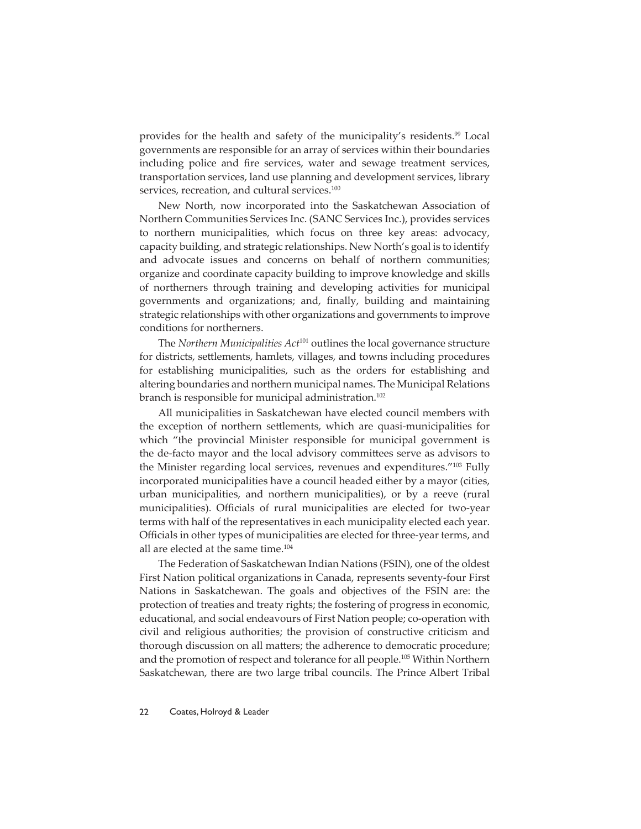provides for the health and safety of the municipality's residents.<sup>99</sup> Local governments are responsible for an array of services within their boundaries including police and fire services, water and sewage treatment services, transportation services, land use planning and development services, library services, recreation, and cultural services.<sup>100</sup>

New North, now incorporated into the Saskatchewan Association of Northern Communities Services Inc. (SANC Services Inc.), provides services to northern municipalities, which focus on three key areas: advocacy, capacity building, and strategic relationships. New North's goal is to identify and advocate issues and concerns on behalf of northern communities; organize and coordinate capacity building to improve knowledge and skills of northerners through training and developing activities for municipal governments and organizations; and, finally, building and maintaining strategic relationships with other organizations and governments to improve conditions for northerners.

The *Northern Municipalities Act*101 outlines the local governance structure for districts, settlements, hamlets, villages, and towns including procedures for establishing municipalities, such as the orders for establishing and altering boundaries and northern municipal names. The Municipal Relations branch is responsible for municipal administration.<sup>102</sup>

All municipalities in Saskatchewan have elected council members with the exception of northern settlements, which are quasi-municipalities for which "the provincial Minister responsible for municipal government is the de-facto mayor and the local advisory committees serve as advisors to the Minister regarding local services, revenues and expenditures."<sup>103</sup> Fully incorporated municipalities have a council headed either by a mayor (cities, urban municipalities, and northern municipalities), or by a reeve (rural municipalities). Officials of rural municipalities are elected for two-year terms with half of the representatives in each municipality elected each year. Officials in other types of municipalities are elected for three-year terms, and all are elected at the same time.<sup>104</sup>

The Federation of Saskatchewan Indian Nations (FSIN), one of the oldest First Nation political organizations in Canada, represents seventy-four First Nations in Saskatchewan. The goals and objectives of the FSIN are: the protection of treaties and treaty rights; the fostering of progress in economic, educational, and social endeavours of First Nation people; co-operation with civil and religious authorities; the provision of constructive criticism and thorough discussion on all matters; the adherence to democratic procedure; and the promotion of respect and tolerance for all people.105 Within Northern Saskatchewan, there are two large tribal councils. The Prince Albert Tribal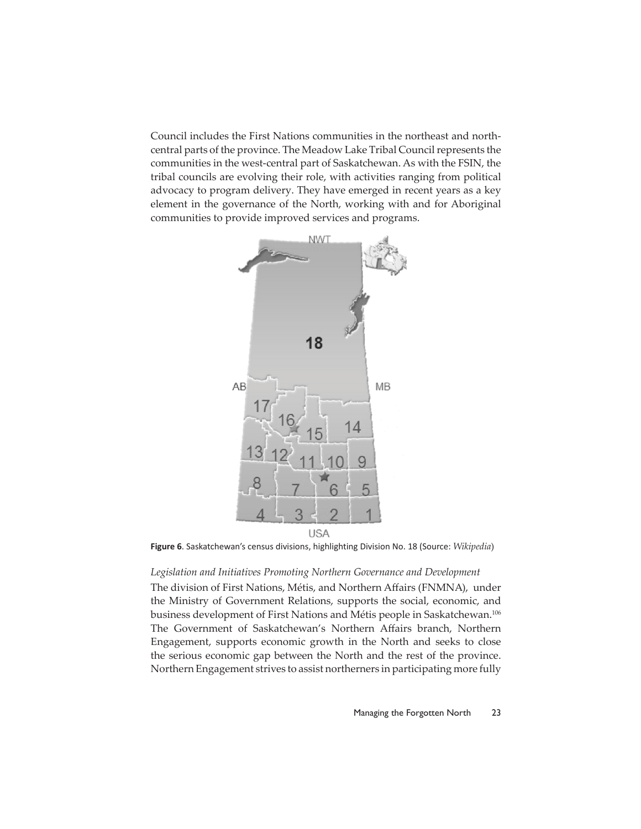Council includes the First Nations communities in the northeast and northcentral parts of the province. The Meadow Lake Tribal Council represents the communities in the west-central part of Saskatchewan. As with the FSIN, the tribal councils are evolving their role, with activities ranging from political advocacy to program delivery. They have emerged in recent years as a key element in the governance of the North, working with and for Aboriginal communities to provide improved services and programs.



**Figure 6**. Saskatchewan's census divisions, highlighting Division No. 18 (Source: *Wikipedia*)

#### *Legislation and Initiatives Promoting Northern Governance and Development*

The division of First Nations, Métis, and Northern Affairs (FNMNA), under the Ministry of Government Relations, supports the social, economic, and business development of First Nations and Métis people in Saskatchewan.106 The Government of Saskatchewan's Northern Affairs branch, Northern Engagement, supports economic growth in the North and seeks to close the serious economic gap between the North and the rest of the province. Northern Engagement strives to assist northerners in participating more fully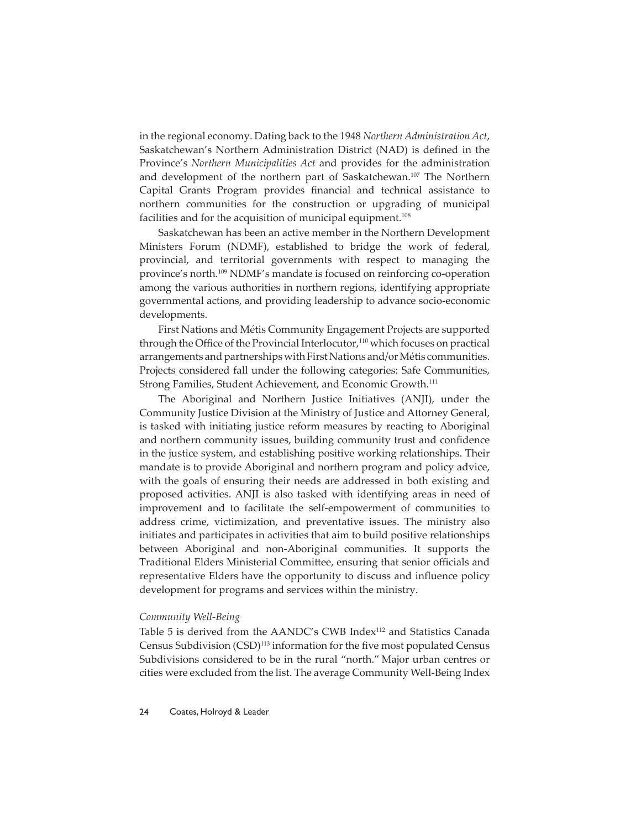in the regional economy. Dating back to the 1948 *Northern Administration Act*, Saskatchewan's Northern Administration District (NAD) is defined in the Province's *Northern Municipalities Act* and provides for the administration and development of the northern part of Saskatchewan.<sup>107</sup> The Northern Capital Grants Program provides financial and technical assistance to northern communities for the construction or upgrading of municipal facilities and for the acquisition of municipal equipment.<sup>108</sup>

Saskatchewan has been an active member in the Northern Development Ministers Forum (NDMF), established to bridge the work of federal, provincial, and territorial governments with respect to managing the province's north.109 NDMF's mandate is focused on reinforcing co-operation among the various authorities in northern regions, identifying appropriate governmental actions, and providing leadership to advance socio-economic developments.

First Nations and Métis Community Engagement Projects are supported through the Office of the Provincial Interlocutor,<sup>110</sup> which focuses on practical arrangements and partnerships with First Nations and/or Métis communities. Projects considered fall under the following categories: Safe Communities, Strong Families, Student Achievement, and Economic Growth.<sup>111</sup>

The Aboriginal and Northern Justice Initiatives (ANJI), under the Community Justice Division at the Ministry of Justice and Attorney General, is tasked with initiating justice reform measures by reacting to Aboriginal and northern community issues, building community trust and confidence in the justice system, and establishing positive working relationships. Their mandate is to provide Aboriginal and northern program and policy advice, with the goals of ensuring their needs are addressed in both existing and proposed activities. ANJI is also tasked with identifying areas in need of improvement and to facilitate the self-empowerment of communities to address crime, victimization, and preventative issues. The ministry also initiates and participates in activities that aim to build positive relationships between Aboriginal and non-Aboriginal communities. It supports the Traditional Elders Ministerial Committee, ensuring that senior officials and representative Elders have the opportunity to discuss and influence policy development for programs and services within the ministry.

#### *Community Well-Being*

Table 5 is derived from the AANDC's CWB Index<sup>112</sup> and Statistics Canada Census Subdivision (CSD)<sup>113</sup> information for the five most populated Census Subdivisions considered to be in the rural "north." Major urban centres or cities were excluded from the list. The average Community Well-Being Index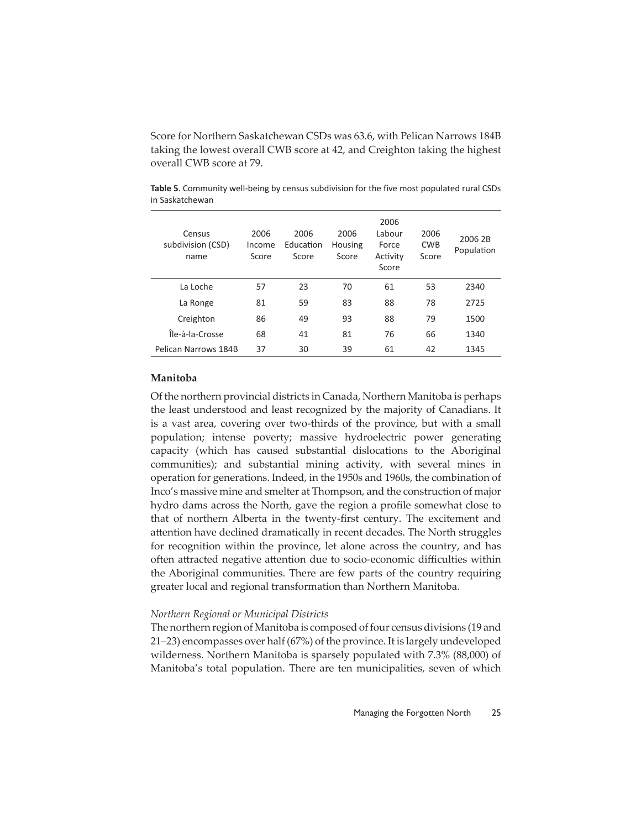Score for Northern Saskatchewan CSDs was 63.6, with Pelican Narrows 184B taking the lowest overall CWB score at 42, and Creighton taking the highest overall CWB score at 79.

| Census<br>subdivision (CSD)<br>name | 2006<br>Income<br>Score | 2006<br>Education<br>Score | 2006<br>Housing<br>Score | 2006<br>Labour<br>Force<br>Activity<br>Score | 2006<br><b>CWB</b><br>Score | 2006 2B<br>Population |
|-------------------------------------|-------------------------|----------------------------|--------------------------|----------------------------------------------|-----------------------------|-----------------------|
| La Loche                            | 57                      | 23                         | 70                       | 61                                           | 53                          | 2340                  |
| La Ronge                            | 81                      | 59                         | 83                       | 88                                           | 78                          | 2725                  |
| Creighton                           | 86                      | 49                         | 93                       | 88                                           | 79                          | 1500                  |
| Île-à-la-Crosse                     | 68                      | 41                         | 81                       | 76                                           | 66                          | 1340                  |
| Pelican Narrows 184B                | 37                      | 30                         | 39                       | 61                                           | 42                          | 1345                  |

**Table 5**. Community well-being by census subdivision for the five most populated rural CSDs in Saskatchewan

# **Manitoba**

Of the northern provincial districts in Canada, Northern Manitoba is perhaps the least understood and least recognized by the majority of Canadians. It is a vast area, covering over two-thirds of the province, but with a small population; intense poverty; massive hydroelectric power generating capacity (which has caused substantial dislocations to the Aboriginal communities); and substantial mining activity, with several mines in operation for generations. Indeed, in the 1950s and 1960s, the combination of Inco's massive mine and smelter at Thompson, and the construction of major hydro dams across the North, gave the region a profile somewhat close to that of northern Alberta in the twenty-first century. The excitement and attention have declined dramatically in recent decades. The North struggles for recognition within the province, let alone across the country, and has often attracted negative attention due to socio-economic difficulties within the Aboriginal communities. There are few parts of the country requiring greater local and regional transformation than Northern Manitoba.

#### *Northern Regional or Municipal Districts*

The northern region of Manitoba is composed of four census divisions (19 and 21–23) encompasses over half (67%) of the province. It is largely undeveloped wilderness. Northern Manitoba is sparsely populated with 7.3% (88,000) of Manitoba's total population. There are ten municipalities, seven of which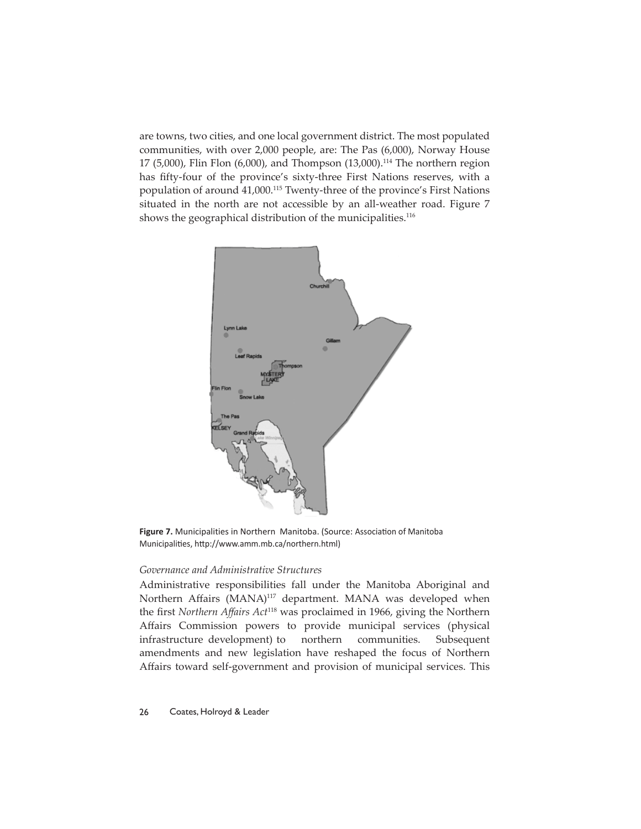are towns, two cities, and one local government district. The most populated communities, with over 2,000 people, are: The Pas (6,000), Norway House 17 (5,000), Flin Flon (6,000), and Thompson (13,000).114 The northern region has fifty-four of the province's sixty-three First Nations reserves, with a population of around 41,000.115 Twenty-three of the province's First Nations situated in the north are not accessible by an all-weather road. Figure 7 shows the geographical distribution of the municipalities.<sup>116</sup>



Figure 7. Municipalities in Northern Manitoba. (Source: Association of Manitoba Municipalities, http://www.amm.mb.ca/northern.html)

# *Governance and Administrative Structures*

Administrative responsibilities fall under the Manitoba Aboriginal and Northern Affairs (MANA)<sup>117</sup> department. MANA was developed when the first *Northern Affairs Act*<sup>118</sup> was proclaimed in 1966, giving the Northern Affairs Commission powers to provide municipal services (physical infrastructure development) to northern communities. Subsequent amendments and new legislation have reshaped the focus of Northern Affairs toward self-government and provision of municipal services. This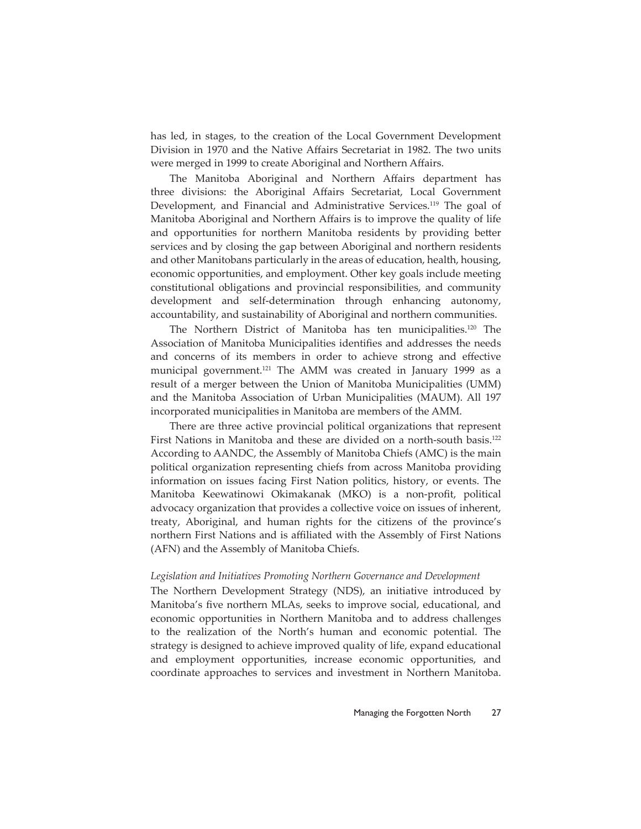has led, in stages, to the creation of the Local Government Development Division in 1970 and the Native Affairs Secretariat in 1982. The two units were merged in 1999 to create Aboriginal and Northern Affairs.

The Manitoba Aboriginal and Northern Affairs department has three divisions: the Aboriginal Affairs Secretariat, Local Government Development, and Financial and Administrative Services.<sup>119</sup> The goal of Manitoba Aboriginal and Northern Affairs is to improve the quality of life and opportunities for northern Manitoba residents by providing better services and by closing the gap between Aboriginal and northern residents and other Manitobans particularly in the areas of education, health, housing, economic opportunities, and employment. Other key goals include meeting constitutional obligations and provincial responsibilities, and community development and self-determination through enhancing autonomy, accountability, and sustainability of Aboriginal and northern communities.

The Northern District of Manitoba has ten municipalities.120 The Association of Manitoba Municipalities identifies and addresses the needs and concerns of its members in order to achieve strong and effective municipal government.<sup>121</sup> The AMM was created in January 1999 as a result of a merger between the Union of Manitoba Municipalities (UMM) and the Manitoba Association of Urban Municipalities (MAUM). All 197 incorporated municipalities in Manitoba are members of the AMM.

There are three active provincial political organizations that represent First Nations in Manitoba and these are divided on a north-south basis.<sup>122</sup> According to AANDC, the Assembly of Manitoba Chiefs (AMC) is the main political organization representing chiefs from across Manitoba providing information on issues facing First Nation politics, history, or events. The Manitoba Keewatinowi Okimakanak (MKO) is a non-profit, political advocacy organization that provides a collective voice on issues of inherent, treaty, Aboriginal, and human rights for the citizens of the province's northern First Nations and is affiliated with the Assembly of First Nations (AFN) and the Assembly of Manitoba Chiefs.

#### *Legislation and Initiatives Promoting Northern Governance and Development*

The Northern Development Strategy (NDS), an initiative introduced by Manitoba's five northern MLAs, seeks to improve social, educational, and economic opportunities in Northern Manitoba and to address challenges to the realization of the North's human and economic potential. The strategy is designed to achieve improved quality of life, expand educational and employment opportunities, increase economic opportunities, and coordinate approaches to services and investment in Northern Manitoba.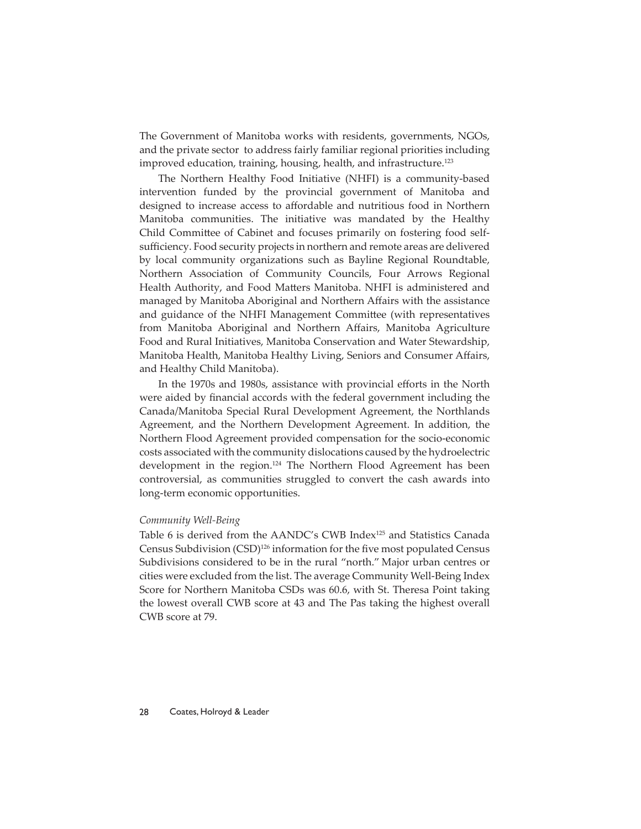The Government of Manitoba works with residents, governments, NGOs, and the private sector to address fairly familiar regional priorities including improved education, training, housing, health, and infrastructure.<sup>123</sup>

The Northern Healthy Food Initiative (NHFI) is a community-based intervention funded by the provincial government of Manitoba and designed to increase access to affordable and nutritious food in Northern Manitoba communities. The initiative was mandated by the Healthy Child Committee of Cabinet and focuses primarily on fostering food selfsufficiency. Food security projects in northern and remote areas are delivered by local community organizations such as Bayline Regional Roundtable, Northern Association of Community Councils, Four Arrows Regional Health Authority, and Food Matters Manitoba. NHFI is administered and managed by Manitoba Aboriginal and Northern Affairs with the assistance and guidance of the NHFI Management Committee (with representatives from Manitoba Aboriginal and Northern Affairs, Manitoba Agriculture Food and Rural Initiatives, Manitoba Conservation and Water Stewardship, Manitoba Health, Manitoba Healthy Living, Seniors and Consumer Affairs, and Healthy Child Manitoba).

In the 1970s and 1980s, assistance with provincial efforts in the North were aided by financial accords with the federal government including the Canada/Manitoba Special Rural Development Agreement, the Northlands Agreement, and the Northern Development Agreement. In addition, the Northern Flood Agreement provided compensation for the socio-economic costs associated with the community dislocations caused by the hydroelectric development in the region.<sup>124</sup> The Northern Flood Agreement has been controversial, as communities struggled to convert the cash awards into long-term economic opportunities.

#### *Community Well-Being*

Table 6 is derived from the AANDC's CWB Index<sup>125</sup> and Statistics Canada Census Subdivision (CSD)<sup>126</sup> information for the five most populated Census Subdivisions considered to be in the rural "north." Major urban centres or cities were excluded from the list. The average Community Well-Being Index Score for Northern Manitoba CSDs was 60.6, with St. Theresa Point taking the lowest overall CWB score at 43 and The Pas taking the highest overall CWB score at 79.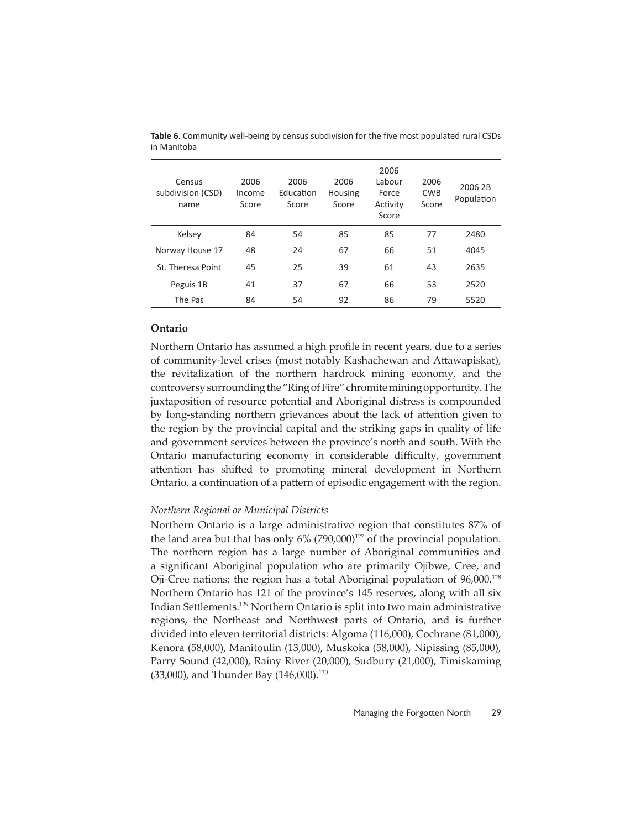| Census<br>subdivision (CSD)<br>name | 2006<br>Income<br>Score | 2006<br>Education<br>Score | 2006<br>Housing<br>Score | 2006<br>Labour<br>Force<br>Activity<br>Score | 2006<br><b>CWB</b><br>Score | 2006 2B<br>Population |
|-------------------------------------|-------------------------|----------------------------|--------------------------|----------------------------------------------|-----------------------------|-----------------------|
| Kelsey                              | 84                      | 54                         | 85                       | 85                                           | 77                          | 2480                  |
| Norway House 17                     | 48                      | 24                         | 67                       | 66                                           | 51                          | 4045                  |
| St. Theresa Point                   | 45                      | 25                         | 39                       | 61                                           | 43                          | 2635                  |
| Peguis 1B                           | 41                      | 37                         | 67                       | 66                                           | 53                          | 2520                  |
| The Pas                             | 84                      | 54                         | 92                       | 86                                           | 79                          | 5520                  |

**Table 6**. Community well-being by census subdivision for the five most populated rural CSDs in Manitoba

# **Ontario**

Northern Ontario has assumed a high profile in recent years, due to a series of community-level crises (most notably Kashachewan and Attawapiskat), the revitalization of the northern hardrock mining economy, and the controversy surrounding the "Ring of Fire" chromite mining opportunity. The juxtaposition of resource potential and Aboriginal distress is compounded by long-standing northern grievances about the lack of attention given to the region by the provincial capital and the striking gaps in quality of life and government services between the province's north and south. With the Ontario manufacturing economy in considerable difficulty, government attention has shifted to promoting mineral development in Northern Ontario, a continuation of a pattern of episodic engagement with the region.

# *Northern Regional or Municipal Districts*

Northern Ontario is a large administrative region that constitutes 87% of the land area but that has only  $6\%$  (790,000)<sup>127</sup> of the provincial population. The northern region has a large number of Aboriginal communities and a significant Aboriginal population who are primarily Ojibwe, Cree, and Oji-Cree nations; the region has a total Aboriginal population of 96,000.128 Northern Ontario has 121 of the province's 145 reserves, along with all six Indian Settlements.<sup>129</sup> Northern Ontario is split into two main administrative regions, the Northeast and Northwest parts of Ontario, and is further divided into eleven territorial districts: Algoma (116,000), Cochrane (81,000), Kenora (58,000), Manitoulin (13,000), Muskoka (58,000), Nipissing (85,000), Parry Sound (42,000), Rainy River (20,000), Sudbury (21,000), Timiskaming (33,000), and Thunder Bay (146,000).<sup>130</sup>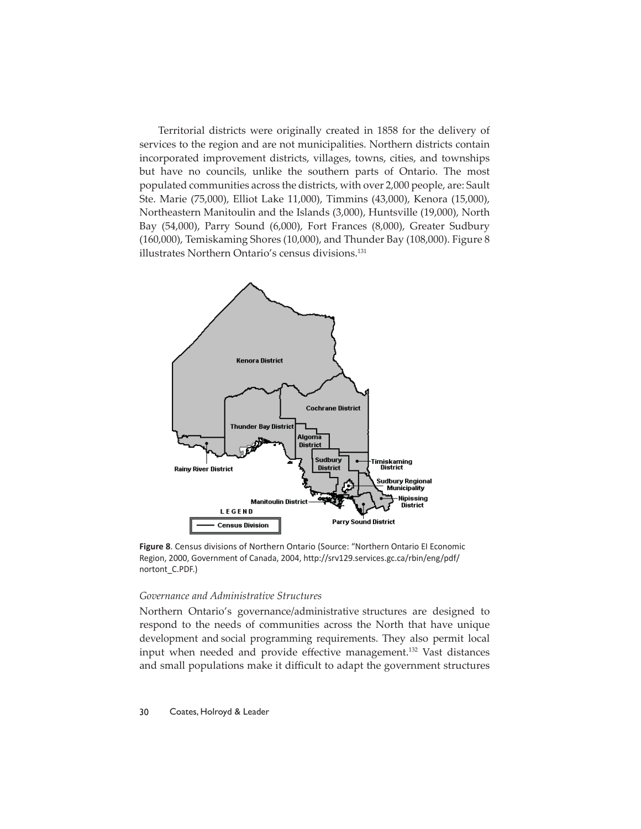Territorial districts were originally created in 1858 for the delivery of services to the region and are not municipalities. Northern districts contain incorporated improvement districts, villages, towns, cities, and townships but have no councils, unlike the southern parts of Ontario. The most populated communities across the districts, with over 2,000 people, are: Sault Ste. Marie (75,000), Elliot Lake 11,000), Timmins (43,000), Kenora (15,000), Northeastern Manitoulin and the Islands (3,000), Huntsville (19,000), North Bay (54,000), Parry Sound (6,000), Fort Frances (8,000), Greater Sudbury (160,000), Temiskaming Shores (10,000), and Thunder Bay (108,000). Figure 8 illustrates Northern Ontario's census divisions.<sup>131</sup>



**Figure 8**. Census divisions of Northern Ontario (Source: "Northern Ontario EI Economic Region, 2000, Government of Canada, 2004, http://srv129.services.gc.ca/rbin/eng/pdf/ nortont\_C.PDF.)

# *Governance and Administrative Structures*

Northern Ontario's governance/administrative structures are designed to respond to the needs of communities across the North that have unique development  and social programming requirements. They also permit local input when needed and provide effective management.<sup>132</sup> Vast distances and small populations make it difficult to adapt the government structures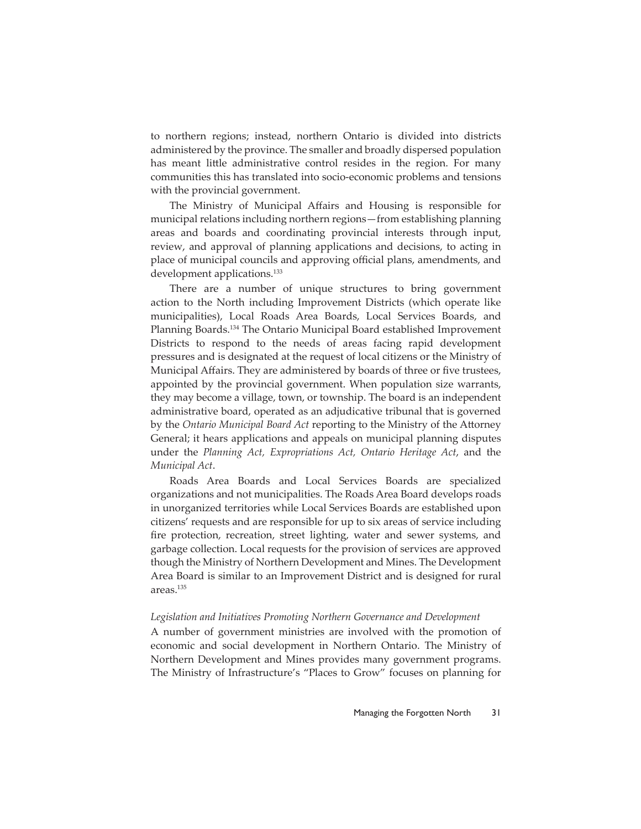to northern regions; instead, northern Ontario is divided into districts administered by the province. The smaller and broadly dispersed population has meant little administrative control resides in the region. For many communities this has translated into socio-economic problems and tensions with the provincial government.

The Ministry of Municipal Affairs and Housing is responsible for municipal relations including northern regions—from establishing planning areas and boards and coordinating provincial interests through input, review, and approval of planning applications and decisions, to acting in place of municipal councils and approving official plans, amendments, and development applications.<sup>133</sup>

There are a number of unique structures to bring government action to the North including Improvement Districts (which operate like municipalities), Local Roads Area Boards, Local Services Boards, and Planning Boards.134 The Ontario Municipal Board established Improvement Districts to respond to the needs of areas facing rapid development pressures and is designated at the request of local citizens or the Ministry of Municipal Affairs. They are administered by boards of three or five trustees, appointed by the provincial government. When population size warrants, they may become a village, town, or township. The board is an independent administrative board, operated as an adjudicative tribunal that is governed by the *Ontario Municipal Board Act* reporting to the Ministry of the Attorney General; it hears applications and appeals on municipal planning disputes under the *Planning Act, Expropriations Act, Ontario Heritage Act*, and the *Municipal Act*.

Roads Area Boards and Local Services Boards are specialized organizations and not municipalities. The Roads Area Board develops roads in unorganized territories while Local Services Boards are established upon citizens' requests and are responsible for up to six areas of service including fire protection, recreation, street lighting, water and sewer systems, and garbage collection. Local requests for the provision of services are approved though the Ministry of Northern Development and Mines. The Development Area Board is similar to an Improvement District and is designed for rural areas.135

#### *Legislation and Initiatives Promoting Northern Governance and Development*

A number of government ministries are involved with the promotion of economic and social development in Northern Ontario. The Ministry of Northern Development and Mines provides many government programs. The Ministry of Infrastructure's "Places to Grow" focuses on planning for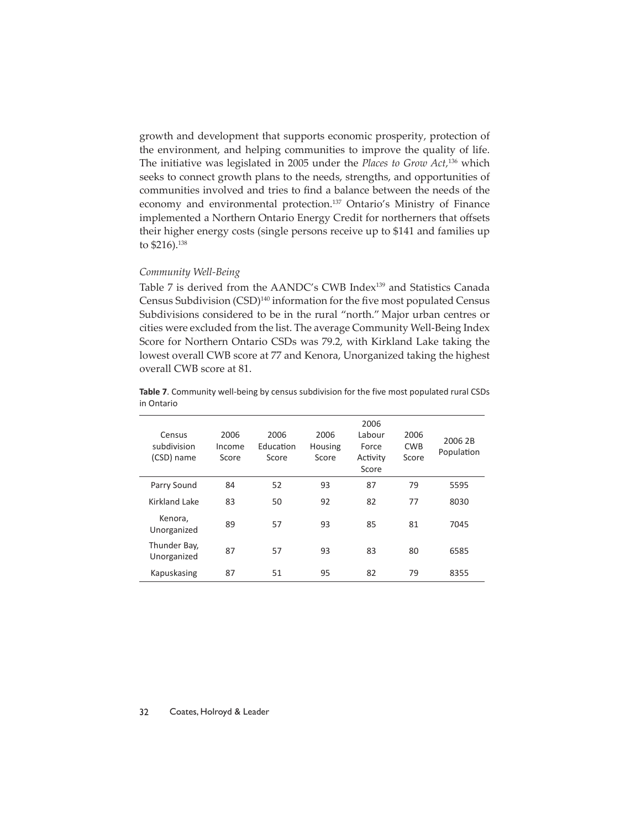growth and development that supports economic prosperity, protection of the environment, and helping communities to improve the quality of life. The initiative was legislated in 2005 under the *Places to Grow Act,*136 which seeks to connect growth plans to the needs, strengths, and opportunities of communities involved and tries to find a balance between the needs of the economy and environmental protection.<sup>137</sup> Ontario's Ministry of Finance implemented a Northern Ontario Energy Credit for northerners that offsets their higher energy costs (single persons receive up to \$141 and families up to \$216).138

#### *Community Well-Being*

Table 7 is derived from the AANDC's CWB Index<sup>139</sup> and Statistics Canada Census Subdivision (CSD)<sup>140</sup> information for the five most populated Census Subdivisions considered to be in the rural "north." Major urban centres or cities were excluded from the list. The average Community Well-Being Index Score for Northern Ontario CSDs was 79.2, with Kirkland Lake taking the lowest overall CWB score at 77 and Kenora, Unorganized taking the highest overall CWB score at 81.

| <b>Table 7.</b> Community well-being by census subdivision for the five most populated rural CSDs |
|---------------------------------------------------------------------------------------------------|
| in Ontario                                                                                        |

| Census<br>subdivision<br>(CSD) name | 2006<br>Income<br>Score | 2006<br>Education<br>Score | 2006<br>Housing<br>Score | 2006<br>Labour<br>Force<br>Activity<br>Score | 2006<br><b>CWB</b><br>Score | 2006 2B<br>Population |
|-------------------------------------|-------------------------|----------------------------|--------------------------|----------------------------------------------|-----------------------------|-----------------------|
| Parry Sound                         | 84                      | 52                         | 93                       | 87                                           | 79                          | 5595                  |
| Kirkland Lake                       | 83                      | 50                         | 92                       | 82                                           | 77                          | 8030                  |
| Kenora,<br>Unorganized              | 89                      | 57                         | 93                       | 85                                           | 81                          | 7045                  |
| Thunder Bay,<br>Unorganized         | 87                      | 57                         | 93                       | 83                                           | 80                          | 6585                  |
| Kapuskasing                         | 87                      | 51                         | 95                       | 82                                           | 79                          | 8355                  |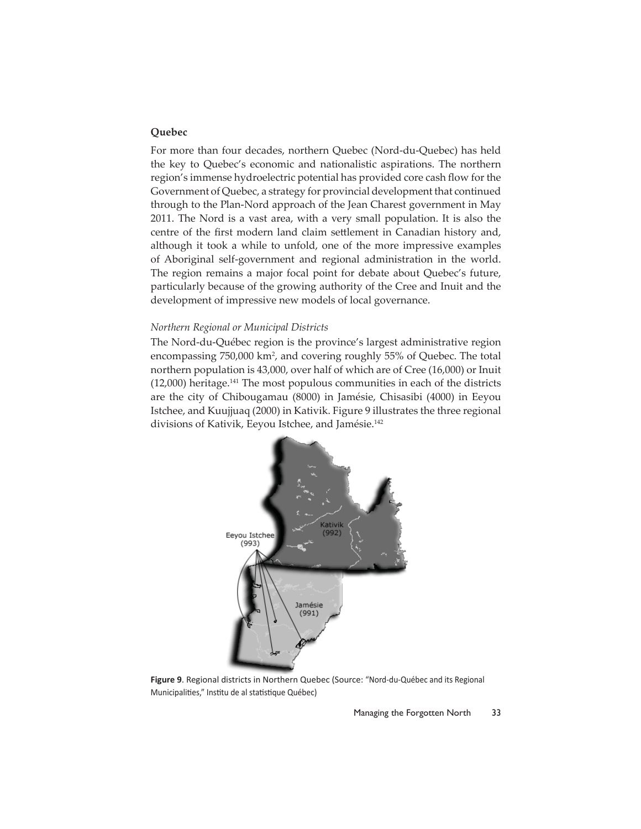# **Quebec**

For more than four decades, northern Quebec (Nord-du-Quebec) has held the key to Quebec's economic and nationalistic aspirations. The northern region's immense hydroelectric potential has provided core cash flow for the Government of Quebec, a strategy for provincial development that continued through to the Plan-Nord approach of the Jean Charest government in May 2011. The Nord is a vast area, with a very small population. It is also the centre of the first modern land claim settlement in Canadian history and, although it took a while to unfold, one of the more impressive examples of Aboriginal self-government and regional administration in the world. The region remains a major focal point for debate about Quebec's future, particularly because of the growing authority of the Cree and Inuit and the development of impressive new models of local governance.

#### *Northern Regional or Municipal Districts*

The Nord-du-Québec region is the province's largest administrative region encompassing 750,000 km<sup>2</sup>, and covering roughly 55% of Quebec. The total northern population is 43,000, over half of which are of Cree (16,000) or Inuit (12,000) heritage.<sup>141</sup> The most populous communities in each of the districts are the city of Chibougamau (8000) in Jamésie, Chisasibi (4000) in Eeyou Istchee, and Kuujjuaq (2000) in Kativik. Figure 9 illustrates the three regional divisions of Kativik, Eeyou Istchee, and Jamésie.<sup>142</sup>



**Figure 9**. Regional districts in Northern Quebec (Source: "Nord-du-Québec and its Regional Municipalities," Institu de al statistique Québec)

Managing the Forgotten North 33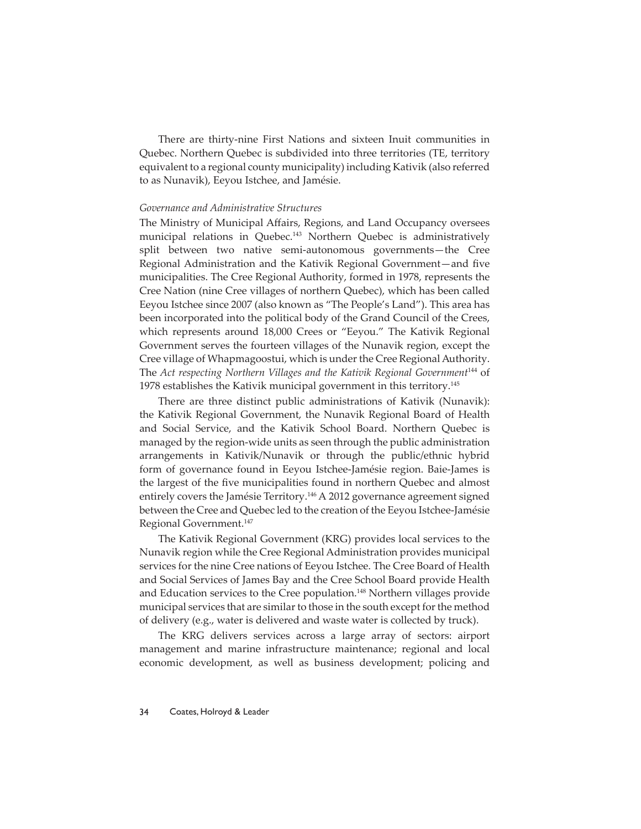There are thirty-nine First Nations and sixteen Inuit communities in Quebec. Northern Quebec is subdivided into three territories (TE, territory equivalent to a regional county municipality) including Kativik (also referred to as Nunavik), Eeyou Istchee, and Jamésie.

# *Governance and Administrative Structures*

The Ministry of Municipal Affairs, Regions, and Land Occupancy oversees municipal relations in Quebec.<sup>143</sup> Northern Quebec is administratively split between two native semi-autonomous governments—the Cree Regional Administration and the Kativik Regional Government-and five municipalities. The Cree Regional Authority, formed in 1978, represents the Cree Nation (nine Cree villages of northern Quebec), which has been called Eeyou Istchee since 2007 (also known as "The People's Land"). This area has been incorporated into the political body of the Grand Council of the Crees, which represents around 18,000 Crees or "Eeyou." The Kativik Regional Government serves the fourteen villages of the Nunavik region, except the Cree village of Whapmagoostui, which is under the Cree Regional Authority. The Act respecting Northern Villages and the Kativik Regional Government<sup>144</sup> of 1978 establishes the Kativik municipal government in this territory.145

There are three distinct public administrations of Kativik (Nunavik): the Kativik Regional Government, the Nunavik Regional Board of Health and Social Service, and the Kativik School Board. Northern Quebec is managed by the region-wide units as seen through the public administration arrangements in Kativik/Nunavik or through the public/ethnic hybrid form of governance found in Eeyou Istchee-Jamésie region. Baie-James is the largest of the five municipalities found in northern Quebec and almost entirely covers the Jamésie Territory.<sup>146</sup> A 2012 governance agreement signed between the Cree and Quebec led to the creation of the Eeyou Istchee-Jamésie Regional Government.147

The Kativik Regional Government (KRG) provides local services to the Nunavik region while the Cree Regional Administration provides municipal services for the nine Cree nations of Eeyou Istchee. The Cree Board of Health and Social Services of James Bay and the Cree School Board provide Health and Education services to the Cree population.<sup>148</sup> Northern villages provide municipal services that are similar to those in the south except for the method of delivery (e.g., water is delivered and waste water is collected by truck).

The KRG delivers services across a large array of sectors: airport management and marine infrastructure maintenance; regional and local economic development, as well as business development; policing and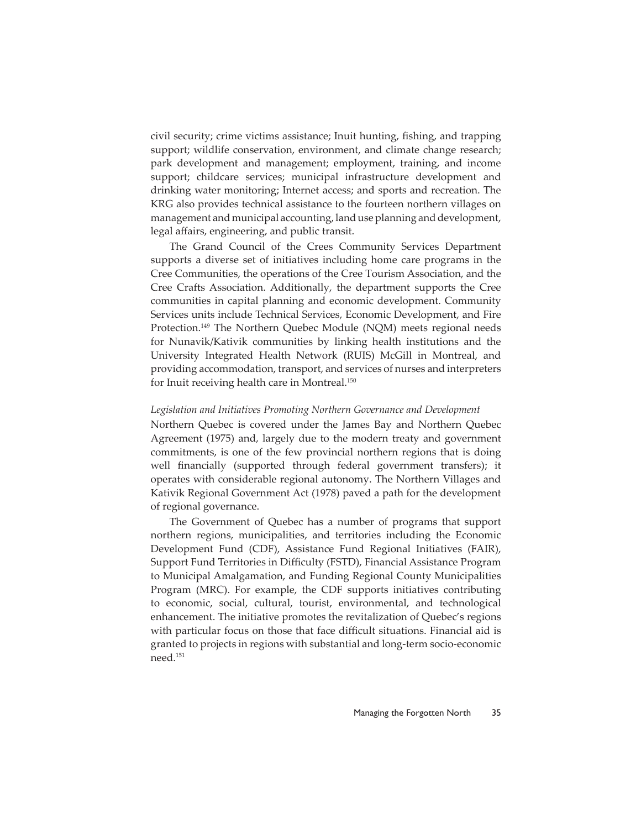civil security; crime victims assistance; Inuit hunting, fishing, and trapping support; wildlife conservation, environment, and climate change research; park development and management; employment, training, and income support; childcare services; municipal infrastructure development and drinking water monitoring; Internet access; and sports and recreation. The KRG also provides technical assistance to the fourteen northern villages on management and municipal accounting, land use planning and development, legal affairs, engineering, and public transit.

The Grand Council of the Crees Community Services Department supports a diverse set of initiatives including home care programs in the Cree Communities, the operations of the Cree Tourism Association, and the Cree Crafts Association. Additionally, the department supports the Cree communities in capital planning and economic development. Community Services units include Technical Services, Economic Development, and Fire Protection.<sup>149</sup> The Northern Quebec Module (NQM) meets regional needs for Nunavik/Kativik communities by linking health institutions and the University Integrated Health Network (RUIS) McGill in Montreal, and providing accommodation, transport, and services of nurses and interpreters for Inuit receiving health care in Montreal.<sup>150</sup>

#### *Legislation and Initiatives Promoting Northern Governance and Development*

Northern Quebec is covered under the James Bay and Northern Quebec Agreement (1975) and, largely due to the modern treaty and government commitments, is one of the few provincial northern regions that is doing well financially (supported through federal government transfers); it operates with considerable regional autonomy. The Northern Villages and Kativik Regional Government Act (1978) paved a path for the development of regional governance.

The Government of Quebec has a number of programs that support northern regions, municipalities, and territories including the Economic Development Fund (CDF), Assistance Fund Regional Initiatives (FAIR), Support Fund Territories in Difficulty (FSTD), Financial Assistance Program to Municipal Amalgamation, and Funding Regional County Municipalities Program (MRC). For example, the CDF supports initiatives contributing to economic, social, cultural, tourist, environmental, and technological enhancement. The initiative promotes the revitalization of Quebec's regions with particular focus on those that face difficult situations. Financial aid is granted to projects in regions with substantial and long-term socio-economic need.151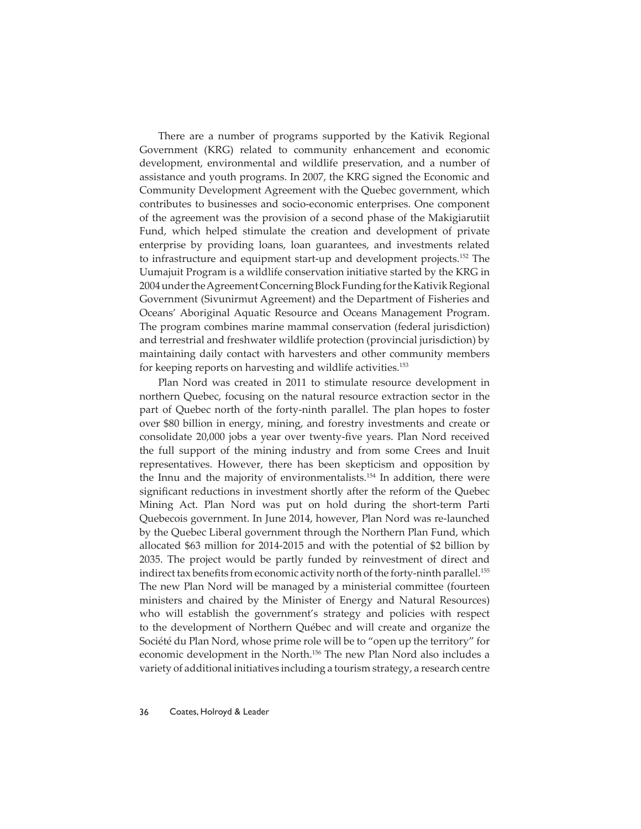There are a number of programs supported by the Kativik Regional Government (KRG) related to community enhancement and economic development, environmental and wildlife preservation, and a number of assistance and youth programs. In 2007, the KRG signed the Economic and Community Development Agreement with the Quebec government, which contributes to businesses and socio-economic enterprises. One component of the agreement was the provision of a second phase of the Makigiarutiit Fund, which helped stimulate the creation and development of private enterprise by providing loans, loan guarantees, and investments related to infrastructure and equipment start-up and development projects.152 The Uumajuit Program is a wildlife conservation initiative started by the KRG in 2004 under the Agreement Concerning Block Funding for the Kativik Regional Government (Sivunirmut Agreement) and the Department of Fisheries and Oceans' Aboriginal Aquatic Resource and Oceans Management Program. The program combines marine mammal conservation (federal jurisdiction) and terrestrial and freshwater wildlife protection (provincial jurisdiction) by maintaining daily contact with harvesters and other community members for keeping reports on harvesting and wildlife activities.153

Plan Nord was created in 2011 to stimulate resource development in northern Quebec, focusing on the natural resource extraction sector in the part of Quebec north of the forty-ninth parallel. The plan hopes to foster over \$80 billion in energy, mining, and forestry investments and create or consolidate 20,000 jobs a year over twenty-five years. Plan Nord received the full support of the mining industry and from some Crees and Inuit representatives. However, there has been skepticism and opposition by the Innu and the majority of environmentalists.154 In addition, there were significant reductions in investment shortly after the reform of the Quebec Mining Act. Plan Nord was put on hold during the short-term Parti Quebecois government. In June 2014, however, Plan Nord was re-launched by the Quebec Liberal government through the Northern Plan Fund, which allocated \$63 million for 2014-2015 and with the potential of \$2 billion by 2035. The project would be partly funded by reinvestment of direct and indirect tax benefits from economic activity north of the forty-ninth parallel.<sup>155</sup> The new Plan Nord will be managed by a ministerial committee (fourteen ministers and chaired by the Minister of Energy and Natural Resources) who will establish the government's strategy and policies with respect to the development of Northern Québec and will create and organize the Société du Plan Nord, whose prime role will be to "open up the territory" for economic development in the North.156 The new Plan Nord also includes a variety of additional initiatives including a tourism strategy, a research centre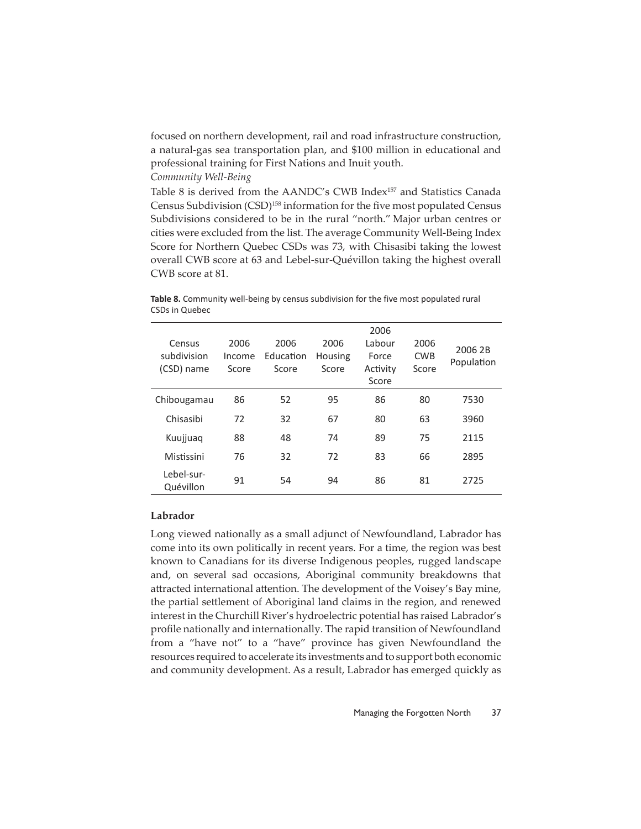focused on northern development, rail and road infrastructure construction, a natural-gas sea transportation plan, and \$100 million in educational and professional training for First Nations and Inuit youth.

*Community Well-Being*

Table 8 is derived from the AANDC's CWB Index<sup>157</sup> and Statistics Canada Census Subdivision (CSD)<sup>158</sup> information for the five most populated Census Subdivisions considered to be in the rural "north." Major urban centres or cities were excluded from the list. The average Community Well-Being Index Score for Northern Quebec CSDs was 73, with Chisasibi taking the lowest overall CWB score at 63 and Lebel-sur-Quévillon taking the highest overall CWB score at 81.

CSDs in Quebec 2006

**Table 8.** Community well-being by census subdivision for the five most populated rural

| Census<br>subdivision<br>(CSD) name | 2006<br>Income<br>Score | 2006<br>Education<br>Score | 2006<br>Housing<br>Score | 2006<br>Labour<br>Force<br>Activity<br>Score | 2006<br><b>CWB</b><br>Score | 2006 2B<br>Population |
|-------------------------------------|-------------------------|----------------------------|--------------------------|----------------------------------------------|-----------------------------|-----------------------|
| Chibougamau                         | 86                      | 52                         | 95                       | 86                                           | 80                          | 7530                  |
| Chisasibi                           | 72                      | 32                         | 67                       | 80                                           | 63                          | 3960                  |
| Kuujjuaq                            | 88                      | 48                         | 74                       | 89                                           | 75                          | 2115                  |
| Mistissini                          | 76                      | 32                         | 72                       | 83                                           | 66                          | 2895                  |
| Lebel-sur-<br>Quévillon             | 91                      | 54                         | 94                       | 86                                           | 81                          | 2725                  |

# **Labrador**

Long viewed nationally as a small adjunct of Newfoundland, Labrador has come into its own politically in recent years. For a time, the region was best known to Canadians for its diverse Indigenous peoples, rugged landscape and, on several sad occasions, Aboriginal community breakdowns that attracted international attention. The development of the Voisey's Bay mine, the partial settlement of Aboriginal land claims in the region, and renewed interest in the Churchill River's hydroelectric potential has raised Labrador's profile nationally and internationally. The rapid transition of Newfoundland from a "have not" to a "have" province has given Newfoundland the resources required to accelerate its investments and to support both economic and community development. As a result, Labrador has emerged quickly as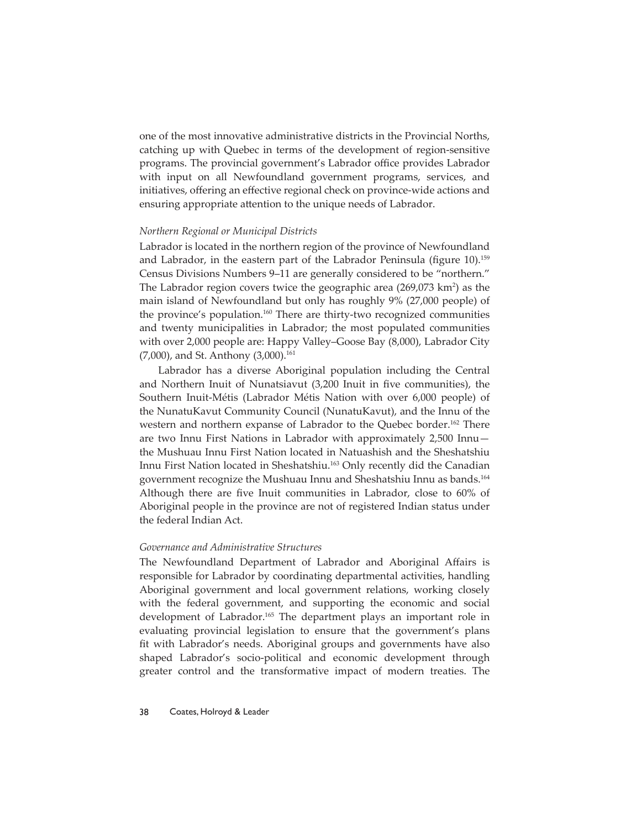one of the most innovative administrative districts in the Provincial Norths, catching up with Quebec in terms of the development of region-sensitive programs. The provincial government's Labrador office provides Labrador with input on all Newfoundland government programs, services, and initiatives, offering an effective regional check on province-wide actions and ensuring appropriate attention to the unique needs of Labrador.

#### *Northern Regional or Municipal Districts*

Labrador is located in the northern region of the province of Newfoundland and Labrador, in the eastern part of the Labrador Peninsula (figure  $10$ ).<sup>159</sup> Census Divisions Numbers 9–11 are generally considered to be "northern." The Labrador region covers twice the geographic area (269,073 km<sup>2</sup>) as the main island of Newfoundland but only has roughly 9% (27,000 people) of the province's population.<sup>160</sup> There are thirty-two recognized communities and twenty municipalities in Labrador; the most populated communities with over 2,000 people are: Happy Valley–Goose Bay (8,000), Labrador City  $(7,000)$ , and St. Anthony  $(3,000)$ .<sup>161</sup>

Labrador has a diverse Aboriginal population including the Central and Northern Inuit of Nunatsiavut (3,200 Inuit in five communities), the Southern Inuit-Métis (Labrador Métis Nation with over 6,000 people) of the NunatuKavut Community Council (NunatuKavut), and the Innu of the western and northern expanse of Labrador to the Quebec border.<sup>162</sup> There are two Innu First Nations in Labrador with approximately 2,500 Innu the Mushuau Innu First Nation located in Natuashish and the Sheshatshiu Innu First Nation located in Sheshatshiu.<sup>163</sup> Only recently did the Canadian government recognize the Mushuau Innu and Sheshatshiu Innu as bands.164 Although there are five Inuit communities in Labrador, close to 60% of Aboriginal people in the province are not of registered Indian status under the federal Indian Act.

# *Governance and Administrative Structures*

The Newfoundland Department of Labrador and Aboriginal Affairs is responsible for Labrador by coordinating departmental activities, handling Aboriginal government and local government relations, working closely with the federal government, and supporting the economic and social development of Labrador.<sup>165</sup> The department plays an important role in evaluating provincial legislation to ensure that the government's plans fit with Labrador's needs. Aboriginal groups and governments have also shaped Labrador's socio-political and economic development through greater control and the transformative impact of modern treaties. The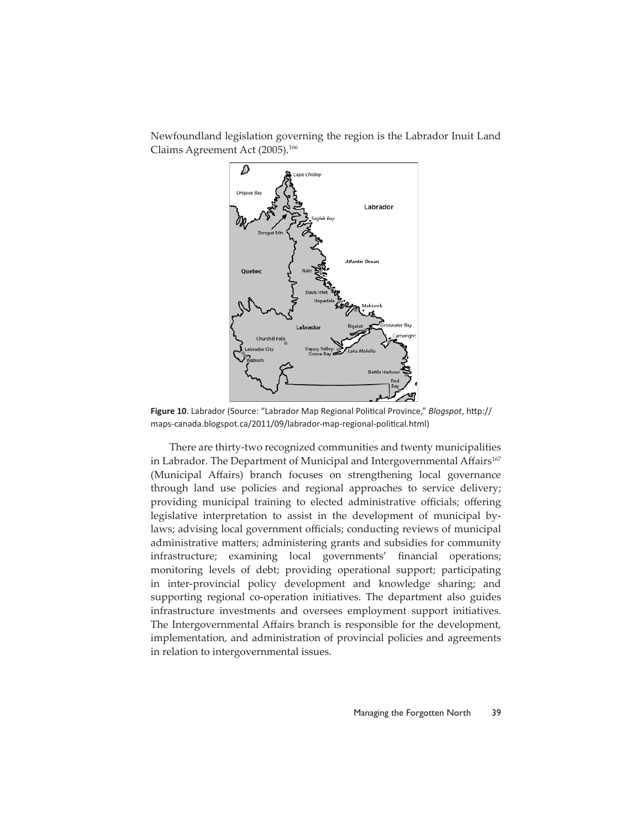

Newfoundland legislation governing the region is the Labrador Inuit Land Claims Agreement Act (2005).<sup>166</sup>

Figure 10. Labrador (Source: "Labrador Map Regional Political Province," *Blogspot*, http:// maps-canada.blogspot.ca/2011/09/labrador-map-regional-political.html)

There are thirty-two recognized communities and twenty municipalities in Labrador. The Department of Municipal and Intergovernmental Affairs<sup>167</sup> (Municipal Affairs) branch focuses on strengthening local governance through land use policies and regional approaches to service delivery; providing municipal training to elected administrative officials; offering legislative interpretation to assist in the development of municipal bylaws; advising local government officials; conducting reviews of municipal administrative matters; administering grants and subsidies for community infrastructure; examining local governments' financial operations; monitoring levels of debt; providing operational support; participating in inter-provincial policy development and knowledge sharing; and supporting regional co-operation initiatives. The department also guides infrastructure investments and oversees employment support initiatives. The Intergovernmental Affairs branch is responsible for the development, implementation, and administration of provincial policies and agreements in relation to intergovernmental issues.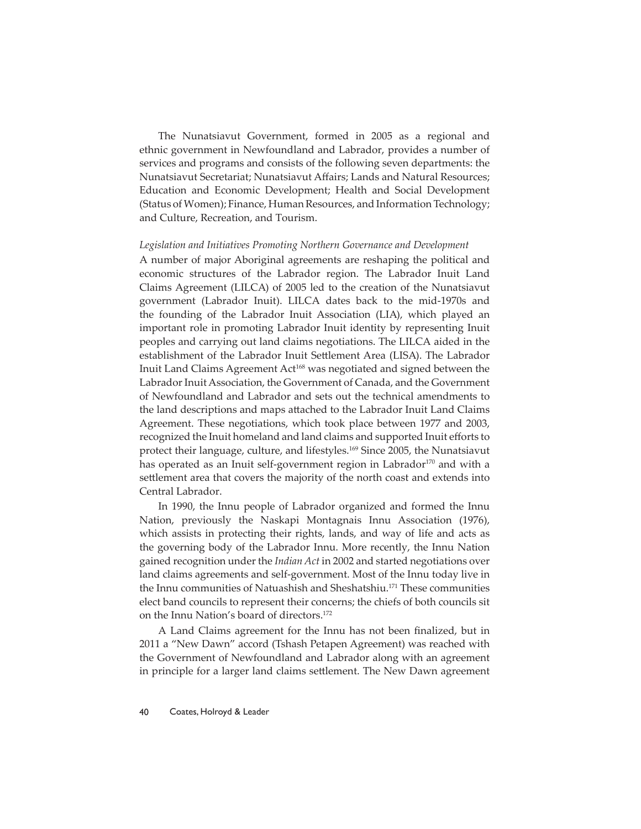The Nunatsiavut Government, formed in 2005 as a regional and ethnic government in Newfoundland and Labrador, provides a number of services and programs and consists of the following seven departments: the Nunatsiavut Secretariat; Nunatsiavut Affairs; Lands and Natural Resources; Education and Economic Development; Health and Social Development (Status of Women); Finance, Human Resources, and Information Technology; and Culture, Recreation, and Tourism.

#### *Legislation and Initiatives Promoting Northern Governance and Development*

A number of major Aboriginal agreements are reshaping the political and economic structures of the Labrador region. The Labrador Inuit Land Claims Agreement (LILCA) of 2005 led to the creation of the Nunatsiavut government (Labrador Inuit). LILCA dates back to the mid-1970s and the founding of the Labrador Inuit Association (LIA), which played an important role in promoting Labrador Inuit identity by representing Inuit peoples and carrying out land claims negotiations. The LILCA aided in the establishment of the Labrador Inuit Settlement Area (LISA). The Labrador Inuit Land Claims Agreement Act<sup>168</sup> was negotiated and signed between the Labrador Inuit Association, the Government of Canada, and the Government of Newfoundland and Labrador and sets out the technical amendments to the land descriptions and maps attached to the Labrador Inuit Land Claims Agreement. These negotiations, which took place between 1977 and 2003, recognized the Inuit homeland and land claims and supported Inuit efforts to protect their language, culture, and lifestyles.169 Since 2005, the Nunatsiavut has operated as an Inuit self-government region in Labrador<sup>170</sup> and with a settlement area that covers the majority of the north coast and extends into Central Labrador.

In 1990, the Innu people of Labrador organized and formed the Innu Nation, previously the Naskapi Montagnais Innu Association (1976), which assists in protecting their rights, lands, and way of life and acts as the governing body of the Labrador Innu. More recently, the Innu Nation gained recognition under the *Indian Act* in 2002 and started negotiations over land claims agreements and self-government. Most of the Innu today live in the Innu communities of Natuashish and Sheshatshiu.<sup>171</sup> These communities elect band councils to represent their concerns; the chiefs of both councils sit on the Innu Nation's board of directors.172

A Land Claims agreement for the Innu has not been finalized, but in 2011 a "New Dawn" accord (Tshash Petapen Agreement) was reached with the Government of Newfoundland and Labrador along with an agreement in principle for a larger land claims settlement. The New Dawn agreement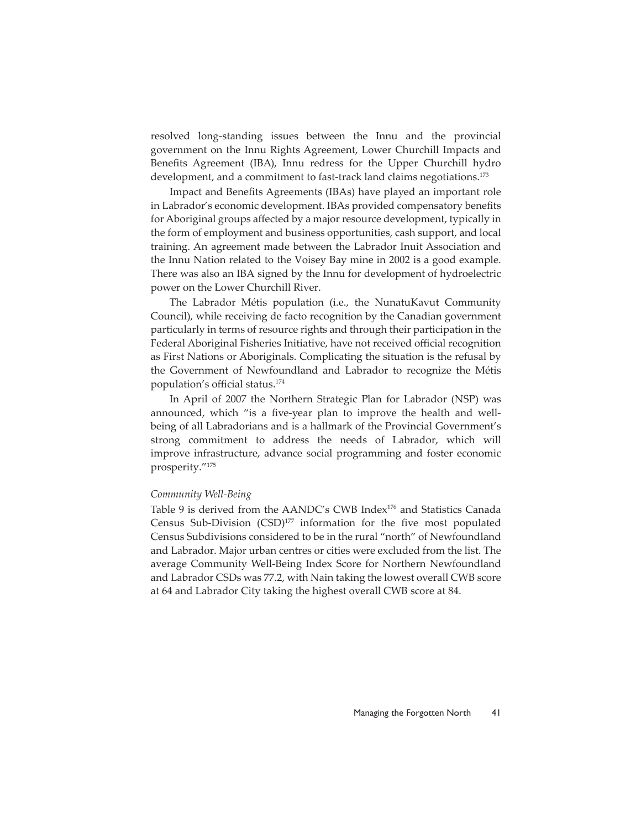resolved long-standing issues between the Innu and the provincial government on the Innu Rights Agreement, Lower Churchill Impacts and Benefits Agreement (IBA), Innu redress for the Upper Churchill hydro development, and a commitment to fast-track land claims negotiations.<sup>173</sup>

Impact and Benefits Agreements (IBAs) have played an important role in Labrador's economic development. IBAs provided compensatory benefits for Aboriginal groups affected by a major resource development, typically in the form of employment and business opportunities, cash support, and local training. An agreement made between the Labrador Inuit Association and the Innu Nation related to the Voisey Bay mine in 2002 is a good example. There was also an IBA signed by the Innu for development of hydroelectric power on the Lower Churchill River.

The Labrador Métis population (i.e., the NunatuKavut Community Council), while receiving de facto recognition by the Canadian government particularly in terms of resource rights and through their participation in the Federal Aboriginal Fisheries Initiative, have not received official recognition as First Nations or Aboriginals. Complicating the situation is the refusal by the Government of Newfoundland and Labrador to recognize the Métis population's official status.<sup>174</sup>

In April of 2007 the Northern Strategic Plan for Labrador (NSP) was announced, which "is a five-year plan to improve the health and wellbeing of all Labradorians and is a hallmark of the Provincial Government's strong commitment to address the needs of Labrador, which will improve infrastructure, advance social programming and foster economic prosperity."175

# *Community Well-Being*

Table 9 is derived from the AANDC's CWB Index<sup>176</sup> and Statistics Canada Census Sub-Division  $(CSD)^{177}$  information for the five most populated Census Subdivisions considered to be in the rural "north" of Newfoundland and Labrador. Major urban centres or cities were excluded from the list. The average Community Well-Being Index Score for Northern Newfoundland and Labrador CSDs was 77.2, with Nain taking the lowest overall CWB score at 64 and Labrador City taking the highest overall CWB score at 84.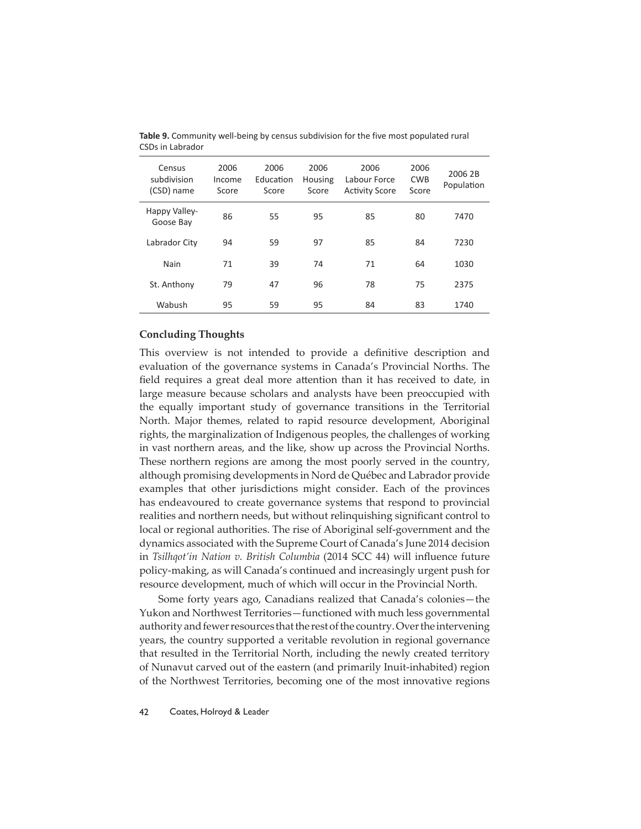| Census<br>subdivision<br>(CSD) name | 2006<br>Income<br>Score | 2006<br>Education<br>Score | 2006<br>Housing<br>Score | 2006<br>Labour Force<br><b>Activity Score</b> | 2006<br><b>CWB</b><br>Score | 2006 2B<br>Population |
|-------------------------------------|-------------------------|----------------------------|--------------------------|-----------------------------------------------|-----------------------------|-----------------------|
| Happy Valley-<br>Goose Bay          | 86                      | 55                         | 95                       | 85                                            | 80                          | 7470                  |
| Labrador City                       | 94                      | 59                         | 97                       | 85                                            | 84                          | 7230                  |
| Nain                                | 71                      | 39                         | 74                       | 71                                            | 64                          | 1030                  |
| St. Anthony                         | 79                      | 47                         | 96                       | 78                                            | 75                          | 2375                  |
| Wabush                              | 95                      | 59                         | 95                       | 84                                            | 83                          | 1740                  |

**Table 9.** Community well-being by census subdivision for the five most populated rural CSDs in Labrador

# **Concluding Thoughts**

This overview is not intended to provide a definitive description and evaluation of the governance systems in Canada's Provincial Norths. The field requires a great deal more attention than it has received to date, in large measure because scholars and analysts have been preoccupied with the equally important study of governance transitions in the Territorial North. Major themes, related to rapid resource development, Aboriginal rights, the marginalization of Indigenous peoples, the challenges of working in vast northern areas, and the like, show up across the Provincial Norths. These northern regions are among the most poorly served in the country, although promising developments in Nord de Québec and Labrador provide examples that other jurisdictions might consider. Each of the provinces has endeavoured to create governance systems that respond to provincial realities and northern needs, but without relinquishing significant control to local or regional authorities. The rise of Aboriginal self-government and the dynamics associated with the Supreme Court of Canada's June 2014 decision in *Tsilhqot'in Nation v. British Columbia* (2014 SCC 44) will influence future policy-making, as will Canada's continued and increasingly urgent push for resource development, much of which will occur in the Provincial North.

Some forty years ago, Canadians realized that Canada's colonies—the Yukon and Northwest Territories—functioned with much less governmental authority and fewer resources that the rest of the country. Over the intervening years, the country supported a veritable revolution in regional governance that resulted in the Territorial North, including the newly created territory of Nunavut carved out of the eastern (and primarily Inuit-inhabited) region of the Northwest Territories, becoming one of the most innovative regions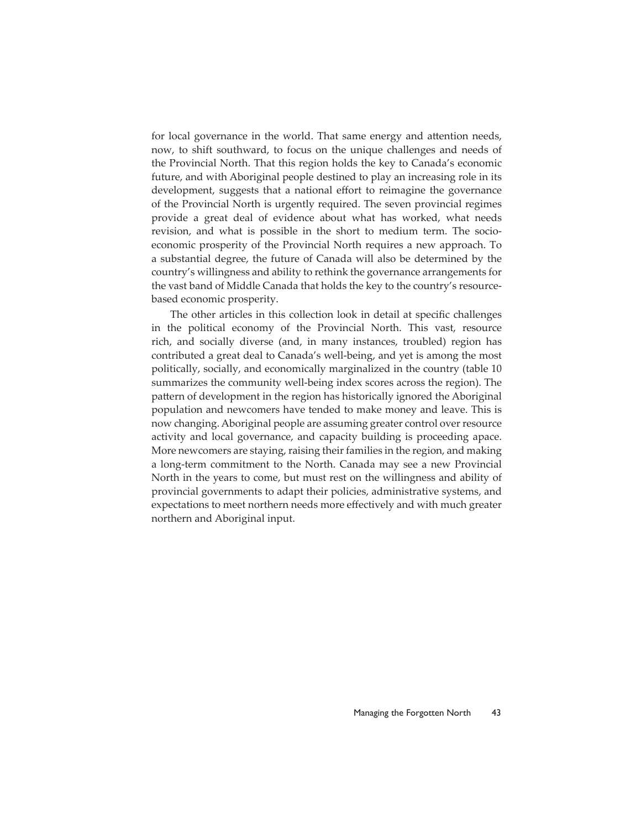for local governance in the world. That same energy and attention needs, now, to shift southward, to focus on the unique challenges and needs of the Provincial North. That this region holds the key to Canada's economic future, and with Aboriginal people destined to play an increasing role in its development, suggests that a national effort to reimagine the governance of the Provincial North is urgently required. The seven provincial regimes provide a great deal of evidence about what has worked, what needs revision, and what is possible in the short to medium term. The socioeconomic prosperity of the Provincial North requires a new approach. To a substantial degree, the future of Canada will also be determined by the country's willingness and ability to rethink the governance arrangements for the vast band of Middle Canada that holds the key to the country's resourcebased economic prosperity.

The other articles in this collection look in detail at specific challenges in the political economy of the Provincial North. This vast, resource rich, and socially diverse (and, in many instances, troubled) region has contributed a great deal to Canada's well-being, and yet is among the most politically, socially, and economically marginalized in the country (table 10 summarizes the community well-being index scores across the region). The pattern of development in the region has historically ignored the Aboriginal population and newcomers have tended to make money and leave. This is now changing. Aboriginal people are assuming greater control over resource activity and local governance, and capacity building is proceeding apace. More newcomers are staying, raising their families in the region, and making a long-term commitment to the North. Canada may see a new Provincial North in the years to come, but must rest on the willingness and ability of provincial governments to adapt their policies, administrative systems, and expectations to meet northern needs more effectively and with much greater northern and Aboriginal input.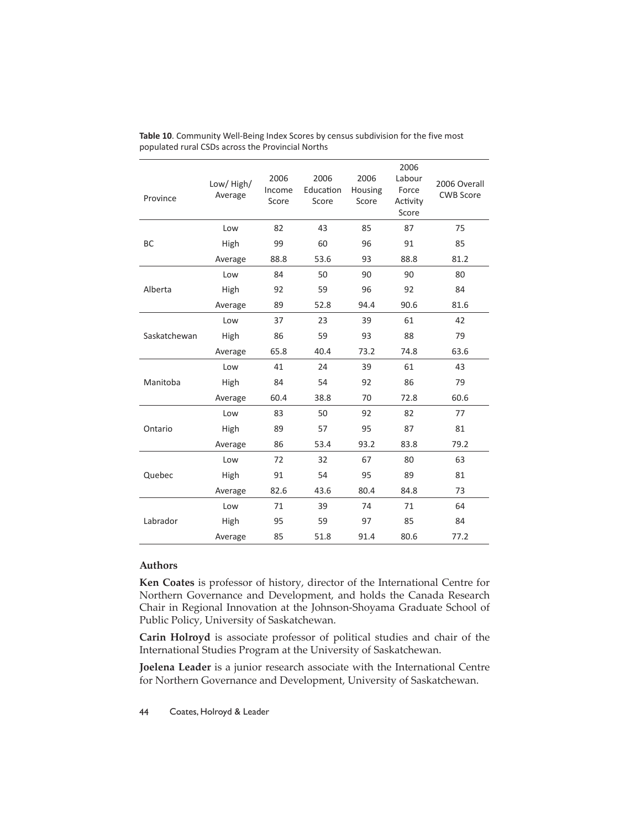| Province     | Low/High/<br>Average | 2006<br>Income<br>Score | 2006<br>Education<br>Score | 2006<br>Housing<br>Score | 2006<br>Labour<br>Force<br>Activity<br>Score | 2006 Overall<br><b>CWB Score</b> |
|--------------|----------------------|-------------------------|----------------------------|--------------------------|----------------------------------------------|----------------------------------|
|              | Low                  | 82                      | 43                         | 85                       | 87                                           | 75                               |
| BC           | High                 | 99                      | 60                         | 96                       | 91                                           | 85                               |
|              | Average              | 88.8                    | 53.6                       | 93                       | 88.8                                         | 81.2                             |
|              | Low                  | 84                      | 50                         | 90                       | 90                                           | 80                               |
| Alberta      | High                 | 92                      | 59                         | 96                       | 92                                           | 84                               |
|              | Average              | 89                      | 52.8                       | 94.4                     | 90.6                                         | 81.6                             |
|              | Low                  | 37                      | 23                         | 39                       | 61                                           | 42                               |
| Saskatchewan | High                 | 86                      | 59                         | 93                       | 88                                           | 79                               |
|              | Average              | 65.8                    | 40.4                       | 73.2                     | 74.8                                         | 63.6                             |
|              | Low                  | 41                      | 24                         | 39                       | 61                                           | 43                               |
| Manitoba     | High                 | 84                      | 54                         | 92                       | 86                                           | 79                               |
|              | Average              | 60.4                    | 38.8                       | 70                       | 72.8                                         | 60.6                             |
|              | Low                  | 83                      | 50                         | 92                       | 82                                           | 77                               |
| Ontario      | High                 | 89                      | 57                         | 95                       | 87                                           | 81                               |
|              | Average              | 86                      | 53.4                       | 93.2                     | 83.8                                         | 79.2                             |
|              | Low                  | 72                      | 32                         | 67                       | 80                                           | 63                               |
| Quebec       | High                 | 91                      | 54                         | 95                       | 89                                           | 81                               |
|              | Average              | 82.6                    | 43.6                       | 80.4                     | 84.8                                         | 73                               |
|              | Low                  | 71                      | 39                         | 74                       | 71                                           | 64                               |
| Labrador     | High                 | 95                      | 59                         | 97                       | 85                                           | 84                               |
|              | Average              | 85                      | 51.8                       | 91.4                     | 80.6                                         | 77.2                             |

**Table 10**. Community Well-Being Index Scores by census subdivision for the five most populated rural CSDs across the Provincial Norths

# **Authors**

**Ken Coates** is professor of history, director of the International Centre for Northern Governance and Development, and holds the Canada Research Chair in Regional Innovation at the Johnson-Shoyama Graduate School of Public Policy, University of Saskatchewan.

**Carin Holroyd** is associate professor of political studies and chair of the International Studies Program at the University of Saskatchewan.

**Joelena Leader** is a junior research associate with the International Centre for Northern Governance and Development, University of Saskatchewan.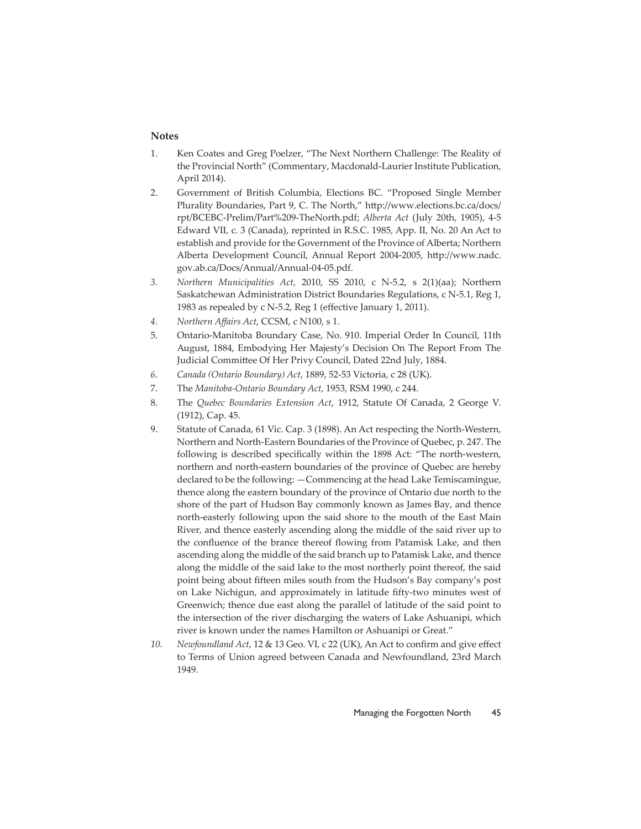# **Notes**

- 1. Ken Coates and Greg Poelzer, "The Next Northern Challenge: The Reality of the Provincial North" (Commentary, Macdonald-Laurier Institute Publication, April 2014).
- 2. Government of British Columbia, Elections BC. "Proposed Single Member Plurality Boundaries, Part 9, C. The North," http://www.elections.bc.ca/docs/ rpt/BCEBC-Prelim/Part%209-TheNorth.pdf; *Alberta Act* (July 20th, 1905), 4-5 Edward VII, c. 3 (Canada), reprinted in R.S.C. 1985, App. II, No. 20 An Act to establish and provide for the Government of the Province of Alberta; Northern Alberta Development Council, Annual Report 2004-2005, http://www.nadc. gov.ab.ca/Docs/Annual/Annual-04-05.pdf.
- *3. Northern Municipalities Act*, 2010, SS 2010, c N-5.2, s 2(1)(aa); Northern Saskatchewan Administration District Boundaries Regulations, c N-5.1, Reg 1, 1983 as repealed by  $c$  N-5.2, Reg 1 (effective January 1, 2011).
- *4. Northern Aff airs Act*, CCSM, c N100, s 1.
- 5. Ontario-Manitoba Boundary Case, No. 910. Imperial Order In Council, 11th August, 1884, Embodying Her Majesty's Decision On The Report From The Judicial Committee Of Her Privy Council, Dated 22nd July, 1884.
- *6. Canada (Ontario Boundary) Act*, 1889, 52-53 Victoria, c 28 (UK).
- 7. The *Manitoba-Ontario Boundary Act*, 1953, RSM 1990, c 244.
- 8. The *Quebec Boundaries Extension Act*, 1912, Statute Of Canada, 2 George V. (1912), Cap. 45.
- 9. Statute of Canada, 61 Vic. Cap. 3 (1898). An Act respecting the North-Western, Northern and North-Eastern Boundaries of the Province of Quebec, p. 247. The following is described specifically within the 1898 Act: "The north-western, northern and north-eastern boundaries of the province of Quebec are hereby declared to be the following: —Commencing at the head Lake Temiscamingue, thence along the eastern boundary of the province of Ontario due north to the shore of the part of Hudson Bay commonly known as James Bay, and thence north-easterly following upon the said shore to the mouth of the East Main River, and thence easterly ascending along the middle of the said river up to the confluence of the brance thereof flowing from Patamisk Lake, and then ascending along the middle of the said branch up to Patamisk Lake, and thence along the middle of the said lake to the most northerly point thereof, the said point being about fifteen miles south from the Hudson's Bay company's post on Lake Nichigun, and approximately in latitude fifty-two minutes west of Greenwich; thence due east along the parallel of latitude of the said point to the intersection of the river discharging the waters of Lake Ashuanipi, which river is known under the names Hamilton or Ashuanipi or Great."
- 10. Newfoundland Act, 12 & 13 Geo. VI, c 22 (UK), An Act to confirm and give effect to Terms of Union agreed between Canada and Newfoundland, 23rd March 1949.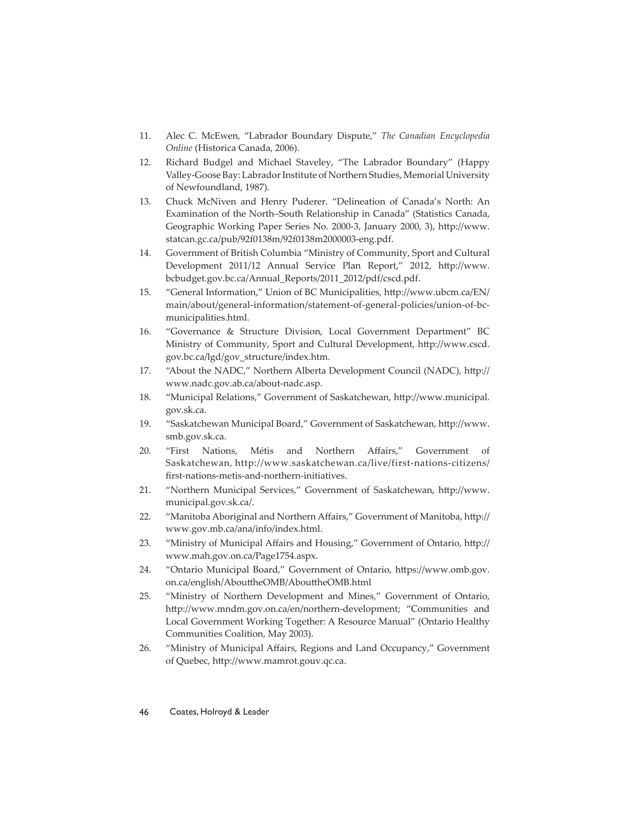- 11. Alec C. McEwen, "Labrador Boundary Dispute," *The Canadian Encyclopedia Online* (Historica Canada, 2006).
- 12. Richard Budgel and Michael Staveley, "The Labrador Boundary" (Happy Valley-Goose Bay: Labrador Institute of Northern Studies, Memorial University of Newfoundland, 1987).
- 13. Chuck McNiven and Henry Puderer. "Delineation of Canada's North: An Examination of the North–South Relationship in Canada" (Statistics Canada, Geographic Working Paper Series No. 2000-3, January 2000, 3), http://www. statcan.gc.ca/pub/92f0138m/92f0138m2000003-eng.pdf.
- 14. Government of British Columbia "Ministry of Community, Sport and Cultural Development 2011/12 Annual Service Plan Report," 2012, http://www. bcbudget.gov.bc.ca/Annual\_Reports/2011\_2012/pdf/cscd.pdf.
- 15. "General Information," Union of BC Municipalities, http://www.ubcm.ca/EN/ main/about/general-information/statement-of-general-policies/union-of-bcmunicipalities.html.
- 16. "Governance & Structure Division, Local Government Department" BC Ministry of Community, Sport and Cultural Development, http://www.cscd. gov.bc.ca/lgd/gov\_structure/index.htm.
- 17. "About the NADC," Northern Alberta Development Council (NADC), http:// www.nadc.gov.ab.ca/about-nadc.asp.
- 18. "Municipal Relations," Government of Saskatchewan, http://www.municipal. gov.sk.ca.
- 19. "Saskatchewan Municipal Board," Government of Saskatchewan, http://www. smb.gov.sk.ca.
- 20. "First Nations, Métis and Northern Affairs," Government of Saskatchewan, http://www.saskatchewan.ca/live/first-nations-citizens/ first-nations-metis-and-northern-initiatives.
- 21. "Northern Municipal Services," Government of Saskatchewan, http://www. municipal.gov.sk.ca/.
- 22. "Manitoba Aboriginal and Northern Affairs," Government of Manitoba, http:// www.gov.mb.ca/ana/info/index.html.
- 23. "Ministry of Municipal Affairs and Housing," Government of Ontario, http:// www.mah.gov.on.ca/Page1754.aspx.
- 24. "Ontario Municipal Board," Government of Ontario, https://www.omb.gov. on.ca/english/AbouttheOMB/AbouttheOMB.html
- 25. "Ministry of Northern Development and Mines," Government of Ontario, http://www.mndm.gov.on.ca/en/northern-development; "Communities and Local Government Working Together: A Resource Manual" (Ontario Healthy Communities Coalition, May 2003).
- 26. "Ministry of Municipal Affairs, Regions and Land Occupancy," Government of Quebec, http://www.mamrot.gouv.qc.ca.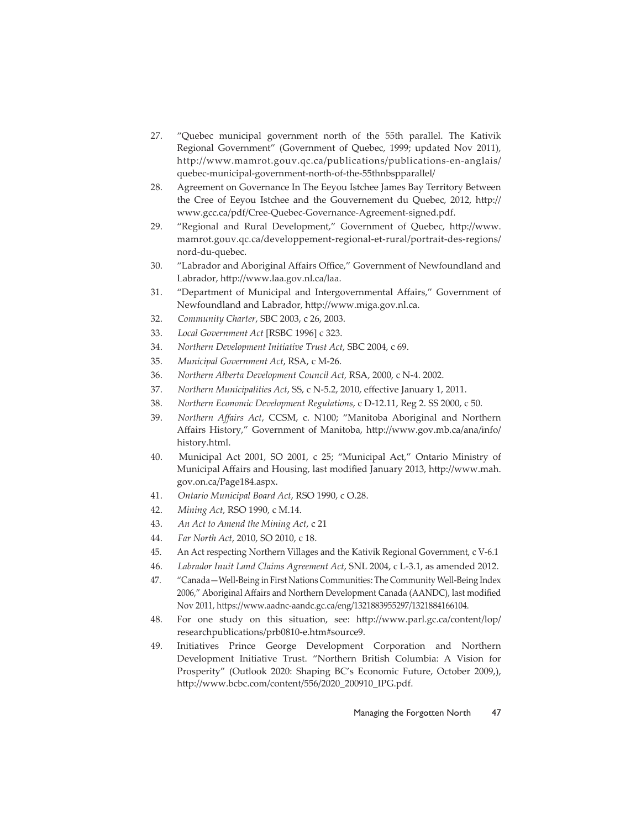- 27. "Quebec municipal government north of the 55th parallel. The Kativik Regional Government" (Government of Quebec, 1999; updated Nov 2011), http://www.mamrot.gouv.qc.ca/publications/publications-en-anglais/ quebec-municipal-government-north-of-the-55thnbspparallel/
- 28. Agreement on Governance In The Eeyou Istchee James Bay Territory Between the Cree of Eeyou Istchee and the Gouvernement du Quebec, 2012, http:// www.gcc.ca/pdf/Cree-Quebec-Governance-Agreement-signed.pdf.
- 29. "Regional and Rural Development," Government of Quebec, http://www. mamrot.gouv.qc.ca/developpement-regional-et-rural/portrait-des-regions/ nord-du-quebec.
- 30. "Labrador and Aboriginal Affairs Office," Government of Newfoundland and Labrador, http://www.laa.gov.nl.ca/laa.
- 31. "Department of Municipal and Intergovernmental Affairs," Government of Newfoundland and Labrador, http://www.miga.gov.nl.ca.
- 32. *Community Charter*, SBC 2003, c 26, 2003.
- 33. *Local Government Act* [RSBC 1996] c 323.
- 34. *Northern Development Initiative Trust Act*, SBC 2004, c 69.
- 35. *Municipal Government Act*, RSA, c M-26.
- 36. *Northern Alberta Development Council Act,* RSA, 2000, c N-4. 2002.
- 37. *Northern Municipalities Act*, SS, c N-5.2, 2010, effective January 1, 2011.
- 38. *Northern Economic Development Regulations*, c D-12.11, Reg 2. SS 2000, c 50.
- 39. *Northern Affairs Act, CCSM, c. N100; "Manitoba Aboriginal and Northern* Affairs History," Government of Manitoba, http://www.gov.mb.ca/ana/info/ history.html.
- 40. Municipal Act 2001, SO 2001, c 25; "Municipal Act," Ontario Ministry of Municipal Affairs and Housing, last modified January 2013, http://www.mah. gov.on.ca/Page184.aspx.
- 41. *Ontario Municipal Board Act*, RSO 1990, c O.28.
- 42. *Mining Act*, RSO 1990, c M.14.
- 43. *An Act to Amend the Mining Act*, c 21
- 44. *Far North Act*, 2010, SO 2010, c 18.
- 45. An Act respecting Northern Villages and the Kativik Regional Government, c V-6.1
- 46. *Labrador Inuit Land Claims Agreement Act*, SNL 2004, c L-3.1, as amended 2012.
- 47. "Canada—Well-Being in First Nations Communities: The Community Well-Being Index 2006," Aboriginal Affairs and Northern Development Canada (AANDC), last modified Nov 2011, https://www.aadnc-aandc.gc.ca/eng/1321883955297/1321884166104.
- 48. For one study on this situation, see: http://www.parl.gc.ca/content/lop/ researchpublications/prb0810-e.htm#source9.
- 49. Initiatives Prince George Development Corporation and Northern Development Initiative Trust. "Northern British Columbia: A Vision for Prosperity" (Outlook 2020: Shaping BC's Economic Future, October 2009,), http://www.bcbc.com/content/556/2020\_200910\_IPG.pdf.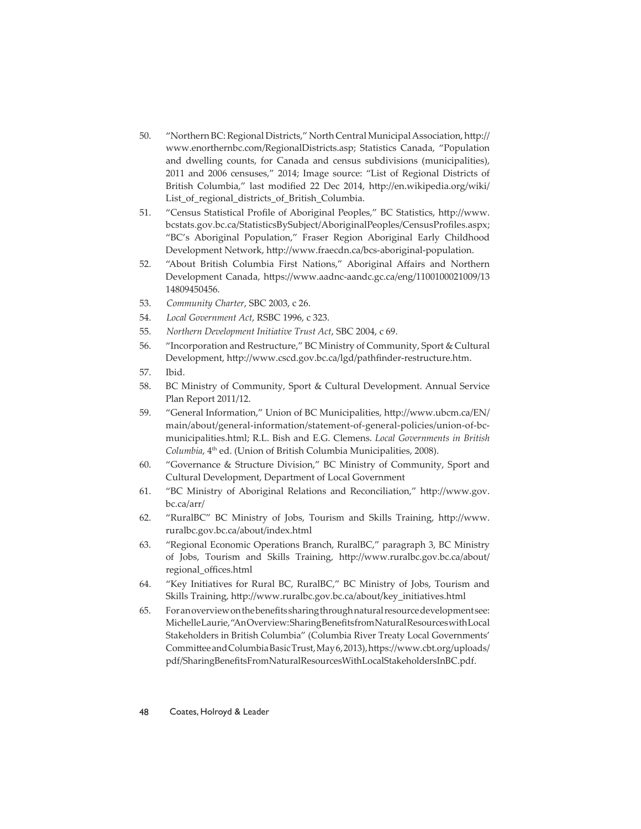- 50. "Northern BC: Regional Districts," North Central Municipal Association, http:// www.enorthernbc.com/RegionalDistricts.asp; Statistics Canada, "Population and dwelling counts, for Canada and census subdivisions (municipalities), 2011 and 2006 censuses," 2014; Image source: "List of Regional Districts of British Columbia," last modified 22 Dec 2014, http://en.wikipedia.org/wiki/ List\_of\_regional\_districts\_of\_British\_Columbia.
- 51. "Census Statistical Profile of Aboriginal Peoples," BC Statistics, http://www. bcstats.gov.bc.ca/StatisticsBySubject/AboriginalPeoples/CensusProfiles.aspx; "BC's Aboriginal Population," Fraser Region Aboriginal Early Childhood Development Network, http://www.fraecdn.ca/bcs-aboriginal-population.
- 52. "About British Columbia First Nations," Aboriginal Affairs and Northern Development Canada, https://www.aadnc-aandc.gc.ca/eng/1100100021009/13 14809450456.
- 53. *Community Charter*, SBC 2003, c 26.
- 54. *Local Government Act*, RSBC 1996, c 323.
- 55. *Northern Development Initiative Trust Act*, SBC 2004, c 69.
- 56. "Incorporation and Restructure," BC Ministry of Community, Sport & Cultural Development, http://www.cscd.gov.bc.ca/lgd/pathfinder-restructure.htm.
- 57. Ibid.
- 58. BC Ministry of Community, Sport & Cultural Development. Annual Service Plan Report 2011/12.
- 59. "General Information," Union of BC Municipalities, http://www.ubcm.ca/EN/ main/about/general-information/statement-of-general-policies/union-of-bcmunicipalities.html; R.L. Bish and E.G. Clemens. *Local Governments in British Columbia*, 4<sup>th</sup> ed. (Union of British Columbia Municipalities, 2008).
- 60. "Governance & Structure Division," BC Ministry of Community, Sport and Cultural Development, Department of Local Government
- 61. "BC Ministry of Aboriginal Relations and Reconciliation," http://www.gov. bc.ca/arr/
- 62. "RuralBC" BC Ministry of Jobs, Tourism and Skills Training, http://www. ruralbc.gov.bc.ca/about/index.html
- 63. "Regional Economic Operations Branch, RuralBC," paragraph 3, BC Ministry of Jobs, Tourism and Skills Training, http://www.ruralbc.gov.bc.ca/about/ regional\_offices.html
- 64. "Key Initiatives for Rural BC, RuralBC," BC Ministry of Jobs, Tourism and Skills Training, http://www.ruralbc.gov.bc.ca/about/key\_initiatives.html
- 65. For an overview on the benefi ts sharing through natural resource development see: Michelle Laurie, "An Overview: Sharing Benefi ts from Natural Resources with Local Stakeholders in British Columbia" (Columbia River Treaty Local Governments' Committee and Columbia Basic Trust, May 6, 2013), https://www.cbt.org/uploads/ pdf/SharingBenefi tsFromNaturalResourcesWithLocalStakeholdersInBC.pdf.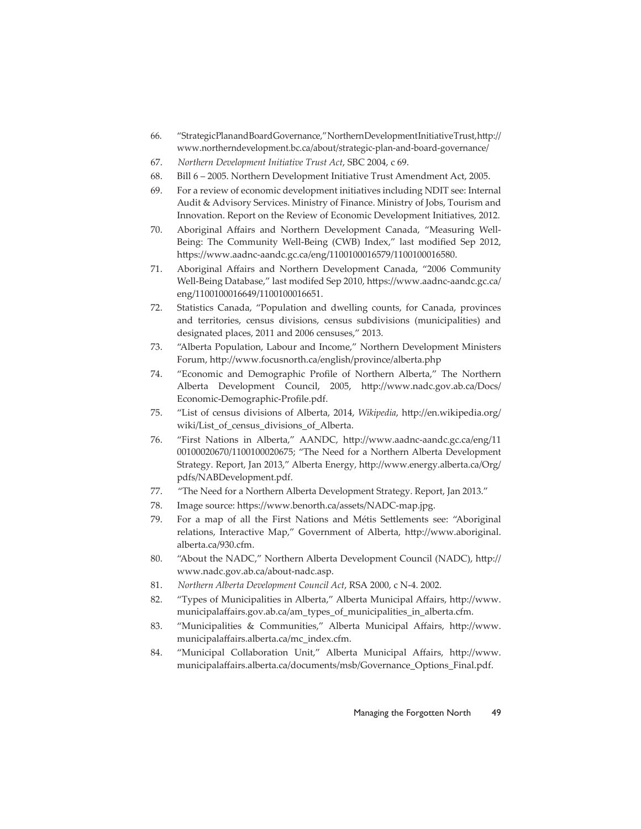- 66. "Strategic Plan and Board Governance," Northern Development Initiative Trust, http:// www.northerndevelopment.bc.ca/about/strategic-plan-and-board-governance/
- 67. *Northern Development Initiative Trust Act*, SBC 2004, c 69.
- 68. Bill 6 2005. Northern Development Initiative Trust Amendment Act, 2005.
- 69. For a review of economic development initiatives including NDIT see: Internal Audit & Advisory Services. Ministry of Finance. Ministry of Jobs, Tourism and Innovation. Report on the Review of Economic Development Initiatives, 2012.
- 70. Aboriginal Affairs and Northern Development Canada, "Measuring Well-Being: The Community Well-Being (CWB) Index," last modified Sep 2012, https://www.aadnc-aandc.gc.ca/eng/1100100016579/1100100016580.
- 71. Aboriginal Affairs and Northern Development Canada, "2006 Community Well-Being Database," last modifed Sep 2010, https://www.aadnc-aandc.gc.ca/ eng/1100100016649/1100100016651.
- 72. Statistics Canada, "Population and dwelling counts, for Canada, provinces and territories, census divisions, census subdivisions (municipalities) and designated places, 2011 and 2006 censuses," 2013.
- 73. "Alberta Population, Labour and Income," Northern Development Ministers Forum, http://www.focusnorth.ca/english/province/alberta.php
- 74. "Economic and Demographic Profile of Northern Alberta," The Northern Alberta Development Council, 2005, http://www.nadc.gov.ab.ca/Docs/ Economic-Demographic-Profile.pdf.
- 75. "List of census divisions of Alberta, 2014, *Wikipedia*, http://en.wikipedia.org/ wiki/List\_of\_census\_divisions\_of\_Alberta.
- 76. "First Nations in Alberta," AANDC, http://www.aadnc-aandc.gc.ca/eng/11 00100020670/1100100020675; "The Need for a Northern Alberta Development Strategy. Report, Jan 2013," Alberta Energy, http://www.energy.alberta.ca/Org/ pdfs/NABDevelopment.pdf.
- 77. "The Need for a Northern Alberta Development Strategy. Report, Jan 2013."
- 78. Image source: https://www.benorth.ca/assets/NADC-map.jpg.
- 79. For a map of all the First Nations and Métis Settlements see: "Aboriginal relations, Interactive Map," Government of Alberta, http://www.aboriginal. alberta.ca/930.cfm.
- 80. "About the NADC," Northern Alberta Development Council (NADC), http:// www.nadc.gov.ab.ca/about-nadc.asp.
- 81. *Northern Alberta Development Council Act*, RSA 2000, c N-4. 2002.
- 82. "Types of Municipalities in Alberta," Alberta Municipal Affairs, http://www. municipalaffairs.gov.ab.ca/am\_types\_of\_municipalities\_in\_alberta.cfm.
- 83. "Municipalities & Communities," Alberta Municipal Affairs, http://www. municipalaffairs.alberta.ca/mc\_index.cfm.
- 84. "Municipal Collaboration Unit," Alberta Municipal Affairs, http://www. municipalaffairs.alberta.ca/documents/msb/Governance\_Options\_Final.pdf.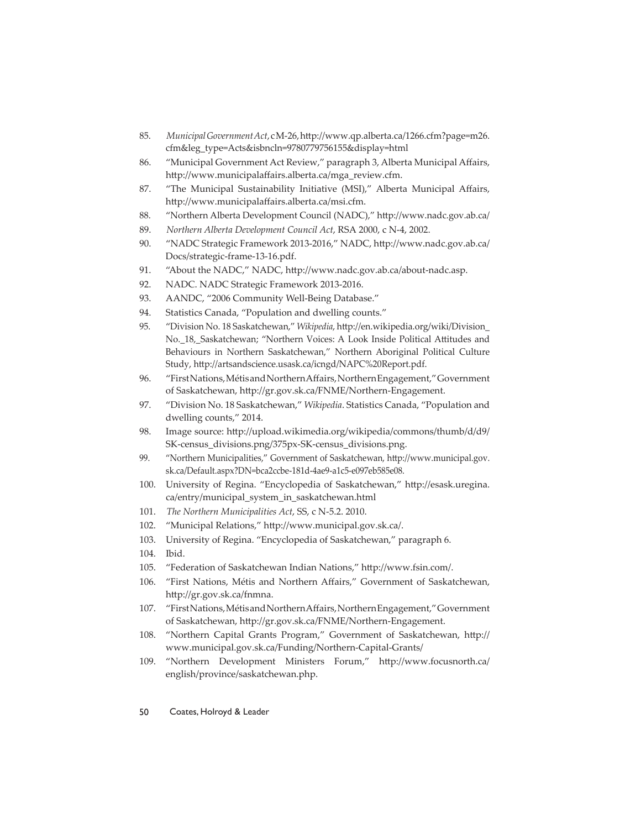- 85. *Municipal Government Act*, cM-26, http://www.qp.alberta.ca/1266.cfm?page=m26. cfm&leg\_type=Acts&isbncln=9780779756155&display=html
- 86. "Municipal Government Act Review," paragraph 3, Alberta Municipal Affairs, http://www.municipalaffairs.alberta.ca/mga\_review.cfm.
- 87. "The Municipal Sustainability Initiative (MSI)," Alberta Municipal Affairs, http://www.municipalaffairs.alberta.ca/msi.cfm.
- 88. "Northern Alberta Development Council (NADC)," http://www.nadc.gov.ab.ca/
- 89. *Northern Alberta Development Council Act*, RSA 2000, c N-4, 2002.
- 90. "NADC Strategic Framework 2013-2016," NADC, http://www.nadc.gov.ab.ca/ Docs/strategic-frame-13-16.pdf.
- 91. "About the NADC," NADC, http://www.nadc.gov.ab.ca/about-nadc.asp.
- 92. NADC. NADC Strategic Framework 2013-2016.
- 93. AANDC, "2006 Community Well-Being Database."
- 94. Statistics Canada, "Population and dwelling counts."
- 95. "Division No. 18 Saskatchewan," *Wikipedia*, http://en.wikipedia.org/wiki/Division\_ No.\_18,\_Saskatchewan; "Northern Voices: A Look Inside Political Attitudes and Behaviours in Northern Saskatchewan," Northern Aboriginal Political Culture Study, http://artsandscience.usask.ca/icngd/NAPC%20Report.pdf.
- 96. "First Nations, Métis and Northern Affairs, Northern Engagement," Government of Saskatchewan, http://gr.gov.sk.ca/FNME/Northern-Engagement.
- 97. "Division No. 18 Saskatchewan," *Wikipedia*. Statistics Canada, "Population and dwelling counts," 2014.
- 98. Image source: http://upload.wikimedia.org/wikipedia/commons/thumb/d/d9/ SK-census\_divisions.png/375px-SK-census\_divisions.png.
- 99. "Northern Municipalities," Government of Saskatchewan, http://www.municipal.gov. sk.ca/Default.aspx?DN=bca2ccbe-181d-4ae9-a1c5-e097eb585e08.
- 100. University of Regina. "Encyclopedia of Saskatchewan," http://esask.uregina. ca/entry/municipal\_system\_in\_saskatchewan.html
- 101. *The Northern Municipalities Act*, SS, c N-5.2. 2010.
- 102. "Municipal Relations," http://www.municipal.gov.sk.ca/.
- 103. University of Regina. "Encyclopedia of Saskatchewan," paragraph 6.
- 104. Ibid.
- 105. "Federation of Saskatchewan Indian Nations," http://www.fsin.com/.
- 106. "First Nations, Métis and Northern Affairs," Government of Saskatchewan, http://gr.gov.sk.ca/fnmna.
- 107. "First Nations, Métis and Northern Affairs, Northern Engagement," Government of Saskatchewan, http://gr.gov.sk.ca/FNME/Northern-Engagement.
- 108. "Northern Capital Grants Program," Government of Saskatchewan, http:// www.municipal.gov.sk.ca/Funding/Northern-Capital-Grants/
- 109. "Northern Development Ministers Forum," http://www.focusnorth.ca/ english/province/saskatchewan.php.
- 50 Coates, Holroyd & Leader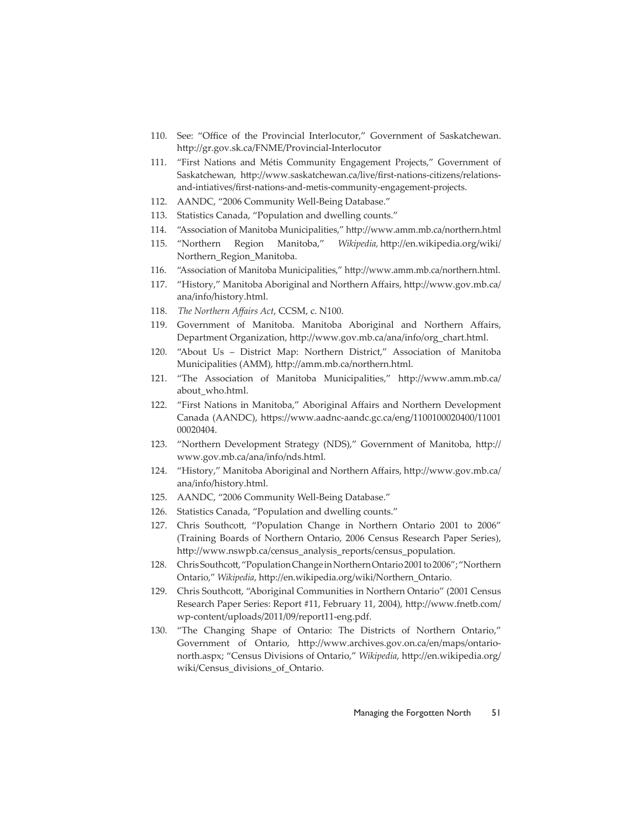- 110. See: "Office of the Provincial Interlocutor," Government of Saskatchewan. http://gr.gov.sk.ca/FNME/Provincial-Interlocutor
- 111. "First Nations and Métis Community Engagement Projects," Government of Saskatchewan, http://www.saskatchewan.ca/live/first-nations-citizens/relationsand-intiatives/first-nations-and-metis-community-engagement-projects.
- 112. AANDC, "2006 Community Well-Being Database."
- 113. Statistics Canada, "Population and dwelling counts."
- 114. "Association of Manitoba Municipalities," http://www.amm.mb.ca/northern.html
- 115. "Northern Region Manitoba," *Wikipedia*, http://en.wikipedia.org/wiki/ Northern\_Region\_Manitoba.
- 116. "Association of Manitoba Municipalities," http://www.amm.mb.ca/northern.html.
- 117. "History," Manitoba Aboriginal and Northern Affairs, http://www.gov.mb.ca/ ana/info/history.html.
- 118. The Northern Affairs Act, CCSM, c. N100.
- 119. Government of Manitoba. Manitoba Aboriginal and Northern Affairs, Department Organization, http://www.gov.mb.ca/ana/info/org\_chart.html.
- 120. "About Us District Map: Northern District," Association of Manitoba Municipalities (AMM), http://amm.mb.ca/northern.html.
- 121. "The Association of Manitoba Municipalities," http://www.amm.mb.ca/ about\_who.html.
- 122. "First Nations in Manitoba," Aboriginal Affairs and Northern Development Canada (AANDC), https://www.aadnc-aandc.gc.ca/eng/1100100020400/11001 00020404.
- 123. "Northern Development Strategy (NDS)," Government of Manitoba, http:// www.gov.mb.ca/ana/info/nds.html.
- 124. "History," Manitoba Aboriginal and Northern Affairs, http://www.gov.mb.ca/ ana/info/history.html.
- 125. AANDC, "2006 Community Well-Being Database."
- 126. Statistics Canada, "Population and dwelling counts."
- 127. Chris Southcott, "Population Change in Northern Ontario 2001 to 2006" (Training Boards of Northern Ontario, 2006 Census Research Paper Series), http://www.nswpb.ca/census\_analysis\_reports/census\_population.
- 128. Chris Southcott, "Population Change in Northern Ontario 2001 to 2006"; "Northern Ontario," *Wikipedia*, http://en.wikipedia.org/wiki/Northern\_Ontario.
- 129. Chris Southcott , "Aboriginal Communities in Northern Ontario" (2001 Census Research Paper Series: Report #11, February 11, 2004), http://www.fnetb.com/ wp-content/uploads/2011/09/report11-eng.pdf.
- 130. "The Changing Shape of Ontario: The Districts of Northern Ontario," Government of Ontario, http://www.archives.gov.on.ca/en/maps/ontarionorth.aspx; "Census Divisions of Ontario," *Wikipedia*, http://en.wikipedia.org/ wiki/Census\_divisions\_of\_Ontario.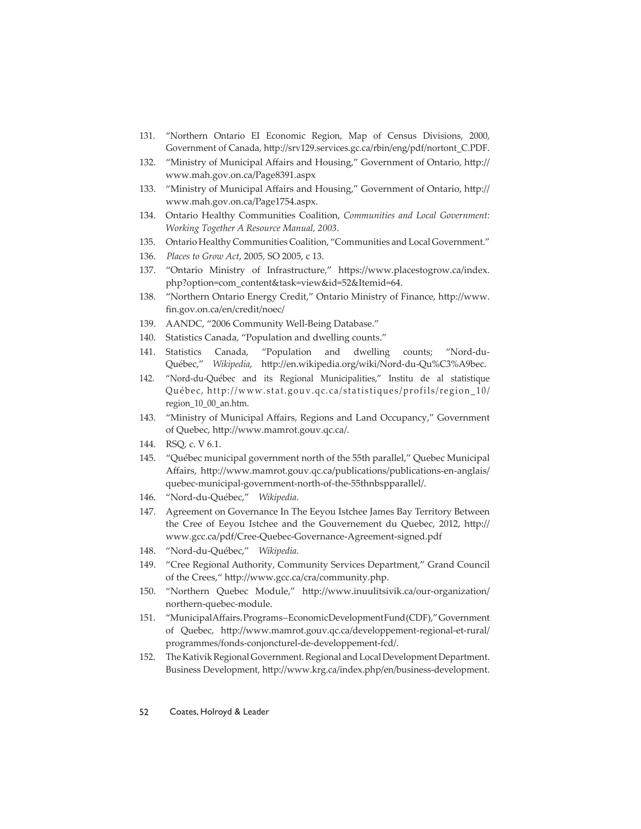- 131. "Northern Ontario EI Economic Region, Map of Census Divisions, 2000, Government of Canada, http://srv129.services.gc.ca/rbin/eng/pdf/nortont\_C.PDF.
- 132. "Ministry of Municipal Affairs and Housing," Government of Ontario, http:// www.mah.gov.on.ca/Page8391.aspx
- 133. "Ministry of Municipal Affairs and Housing," Government of Ontario, http:// www.mah.gov.on.ca/Page1754.aspx.
- 134. Ontario Healthy Communities Coalition, *Communities and Local Government: Working Together A Resource Manual, 2003*.
- 135. Ontario Healthy Communities Coalition, "Communities and Local Government."
- 136. *Places to Grow Act*, 2005, SO 2005, c 13.
- 137. "Ontario Ministry of Infrastructure," https://www.placestogrow.ca/index. php?option=com\_content&task=view&id=52&Itemid=64.
- 138. "Northern Ontario Energy Credit," Ontario Ministry of Finance, http://www. fin.gov.on.ca/en/credit/noec/
- 139. AANDC, "2006 Community Well-Being Database."
- 140. Statistics Canada, "Population and dwelling counts."
- 141. Statistics Canada, "Population and dwelling counts; "Nord-du-Québec," Wikipedia, http://en.wikipedia.org/wiki/Nord-du-Qu%C3%A9bec.
- 142. "Nord-du-Québec and its Regional Municipalities," Institu de al statistique Québec, http://www.stat.gouv.qc.ca/statistiques/profils/region\_10/ region\_10\_00\_an.htm.
- 143. "Ministry of Municipal Affairs, Regions and Land Occupancy," Government of Quebec, http://www.mamrot.gouv.qc.ca/.
- 144. RSQ, c. V 6.1.
- 145. "Québec municipal government north of the 55th parallel," Quebec Municipal Affairs, http://www.mamrot.gouv.qc.ca/publications/publications-en-anglais/ quebec-municipal-government-north-of-the-55thnbspparallel/.
- 146. "Nord-du-Québec," *Wikipedia*.
- 147. Agreement on Governance In The Eeyou Istchee James Bay Territory Between the Cree of Eeyou Istchee and the Gouvernement du Quebec, 2012, http:// www.gcc.ca/pdf/Cree-Quebec-Governance-Agreement-signed.pdf
- 148. "Nord-du-Québec," *Wikipedia*.
- 149. "Cree Regional Authority, Community Services Department," Grand Council of the Crees," http://www.gcc.ca/cra/community.php.
- 150. "Northern Quebec Module," http://www.inuulitsivik.ca/our-organization/ northern-quebec-module.
- 151. "Municipal Aff airs. Programs Economic Development Fund (CDF)," Government of Quebec, http://www.mamrot.gouv.qc.ca/developpement-regional-et-rural/ programmes/fonds-conjoncturel-de-developpement-fcd/.
- 152. The Kativik Regional Government. Regional and Local Development Department. Business Development, http://www.krg.ca/index.php/en/business-development.
- 52 Coates, Holroyd & Leader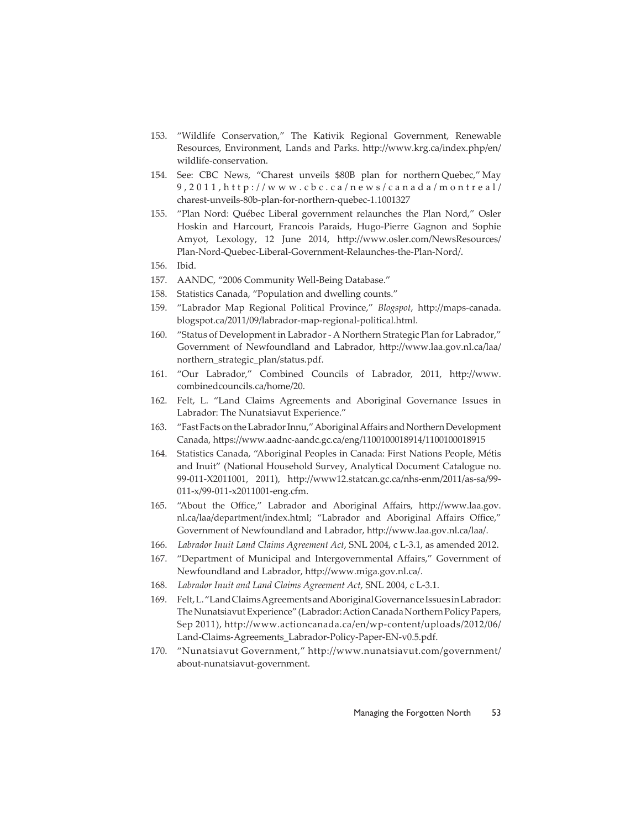- 153. "Wildlife Conservation," The Kativik Regional Government, Renewable Resources, Environment, Lands and Parks. http://www.krg.ca/index.php/en/ wildlife-conservation.
- 154. See: CBC News, "Charest unveils \$80B plan for northern Quebec," May 9,2011,http://www.cbc.ca/news/canada/montreal/ charest-unveils-80b-plan-for-northern-quebec-1.1001327
- 155. "Plan Nord: Québec Liberal government relaunches the Plan Nord," Osler Hoskin and Harcourt, Francois Paraids, Hugo-Pierre Gagnon and Sophie Amyot, Lexology, 12 June 2014, http://www.osler.com/NewsResources/ Plan-Nord-Quebec-Liberal-Government-Relaunches-the-Plan-Nord/.
- 156. Ibid.
- 157. AANDC, "2006 Community Well-Being Database."
- 158. Statistics Canada, "Population and dwelling counts."
- 159. "Labrador Map Regional Political Province," *Blogspot*, http://maps-canada. blogspot.ca/2011/09/labrador-map-regional-political.html.
- 160. "Status of Development in Labrador A Northern Strategic Plan for Labrador," Government of Newfoundland and Labrador, http://www.laa.gov.nl.ca/laa/ northern\_strategic\_plan/status.pdf.
- 161. "Our Labrador," Combined Councils of Labrador, 2011, http://www. combinedcouncils.ca/home/20.
- 162. Felt, L. "Land Claims Agreements and Aboriginal Governance Issues in Labrador: The Nunatsiavut Experience."
- 163. "Fast Facts on the Labrador Innu," Aboriginal Affairs and Northern Development Canada, https://www.aadnc-aandc.gc.ca/eng/1100100018914/1100100018915
- 164. Statistics Canada, "Aboriginal Peoples in Canada: First Nations People, Métis and Inuit" (National Household Survey, Analytical Document Catalogue no. 99-011-X2011001, 2011), http://www12.statcan.gc.ca/nhs-enm/2011/as-sa/99-011-x/99-011-x2011001-eng.cfm.
- 165. "About the Office," Labrador and Aboriginal Affairs, http://www.laa.gov. nl.ca/laa/department/index.html; "Labrador and Aboriginal Affairs Office," Government of Newfoundland and Labrador, http://www.laa.gov.nl.ca/laa/.
- 166. *Labrador Inuit Land Claims Agreement Act*, SNL 2004, c L-3.1, as amended 2012.
- 167. "Department of Municipal and Intergovernmental Affairs," Government of Newfoundland and Labrador, http://www.miga.gov.nl.ca/.
- 168. *Labrador Inuit and Land Claims Agreement Act*, SNL 2004, c L-3.1.
- 169. Felt, L. "Land Claims Agreements and Aboriginal Governance Issues in Labrador: The Nunatsiavut Experience" (Labrador: Action Canada Northern Policy Papers, Sep 2011), http://www.actioncanada.ca/en/wp-content/uploads/2012/06/ Land-Claims-Agreements\_Labrador-Policy-Paper-EN-v0.5.pdf.
- 170. "Nunatsiavut Government," http://www.nunatsiavut.com/government/ about-nunatsiavut-government.